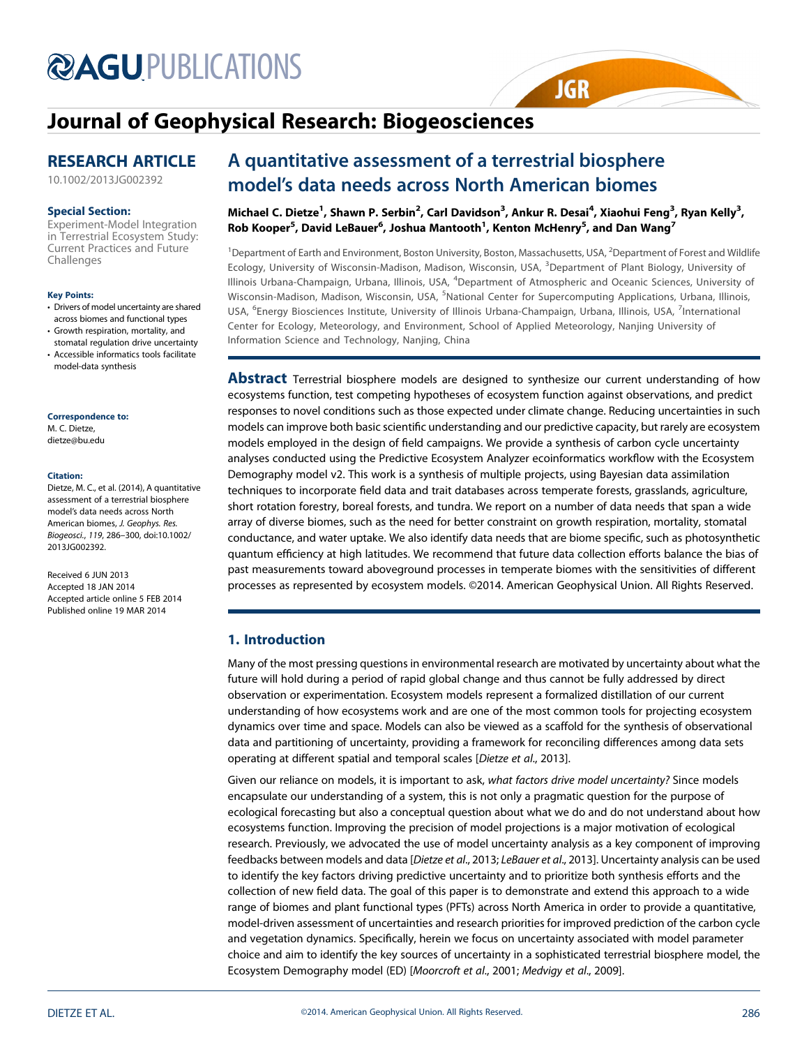# **@AGU[PUBLICATIONS](http://publications.agu.org/journals/)**

# [Journal of Geophysical Research: Biogeosciences](http://onlinelibrary.wiley.com/journal/10.1002/(ISSN)2169-8961)

## RESEARCH ARTICLE

[10.1002/2013JG002392](http://dx.doi.org/10.1002/2013JG002392)

#### Special Section:

[Experiment-Model Integration](http://onlinelibrary.wiley.com/journal/10.1002/(ISSN)2169-8961/specialsection/EMITES1) [in Terrestrial Ecosystem Study:](http://onlinelibrary.wiley.com/journal/10.1002/(ISSN)2169-8961/specialsection/EMITES1) [Current Practices and Future](http://onlinelibrary.wiley.com/journal/10.1002/(ISSN)2169-8961/specialsection/EMITES1) [Challenges](http://onlinelibrary.wiley.com/journal/10.1002/(ISSN)2169-8961/specialsection/EMITES1)

#### Key Points:

- Drivers of model uncertainty are shared across biomes and functional types
- Growth respiration, mortality, and stomatal regulation drive uncertainty
- Accessible informatics tools facilitate model-data synthesis

Correspondence to: M. C. Dietze,

dietze@bu.edu

#### Citation:

Dietze, M. C., et al. (2014), A quantitative assessment of a terrestrial biosphere model's data needs across North American biomes, J. Geophys. Res. Biogeosci., 119, 286–300, doi:10.1002/ 2013JG002392.

Received 6 JUN 2013 Accepted 18 JAN 2014 Accepted article online 5 FEB 2014 Published online 19 MAR 2014

## A quantitative assessment of a terrestrial biosphere model's data needs across North American biomes

Michael C. Dietze<sup>1</sup>, Shawn P. Serbin<sup>2</sup>, Carl Davidson<sup>3</sup>, Ankur R. Desai<sup>4</sup>, Xiaohui Feng<sup>3</sup>, Ryan Kelly<sup>3</sup>, Rob Kooper<sup>5</sup>, David LeBauer<sup>6</sup>, Joshua Mantooth<sup>1</sup>, Kenton McHenry<sup>5</sup>, and Dan Wang<sup>7</sup>

**JGR** 

<sup>1</sup> Department of Earth and Environment, Boston University, Boston, Massachusetts, USA, <sup>2</sup> Department of Forest and Wildlife Ecology, University of Wisconsin-Madison, Madison, Wisconsin, USA, <sup>3</sup>Department of Plant Biology, University of Illinois Urbana-Champaign, Urbana, Illinois, USA, <sup>4</sup>Department of Atmospheric and Oceanic Sciences, University of Wisconsin-Madison, Madison, Wisconsin, USA, <sup>5</sup>National Center for Supercomputing Applications, Urbana, Illinois, USA, <sup>6</sup>Energy Biosciences Institute, University of Illinois Urbana-Champaign, Urbana, Illinois, USA, <sup>7</sup>International Center for Ecology, Meteorology, and Environment, School of Applied Meteorology, Nanjing University of Information Science and Technology, Nanjing, China

**Abstract** Terrestrial biosphere models are designed to synthesize our current understanding of how ecosystems function, test competing hypotheses of ecosystem function against observations, and predict responses to novel conditions such as those expected under climate change. Reducing uncertainties in such models can improve both basic scientific understanding and our predictive capacity, but rarely are ecosystem models employed in the design of field campaigns. We provide a synthesis of carbon cycle uncertainty analyses conducted using the Predictive Ecosystem Analyzer ecoinformatics workflow with the Ecosystem Demography model v2. This work is a synthesis of multiple projects, using Bayesian data assimilation techniques to incorporate field data and trait databases across temperate forests, grasslands, agriculture, short rotation forestry, boreal forests, and tundra. We report on a number of data needs that span a wide array of diverse biomes, such as the need for better constraint on growth respiration, mortality, stomatal conductance, and water uptake. We also identify data needs that are biome specific, such as photosynthetic quantum efficiency at high latitudes. We recommend that future data collection efforts balance the bias of past measurements toward aboveground processes in temperate biomes with the sensitivities of different processes as represented by ecosystem models. ©2014. American Geophysical Union. All Rights Reserved.

### 1. Introduction

Many of the most pressing questions in environmental research are motivated by uncertainty about what the future will hold during a period of rapid global change and thus cannot be fully addressed by direct observation or experimentation. Ecosystem models represent a formalized distillation of our current understanding of how ecosystems work and are one of the most common tools for projecting ecosystem dynamics over time and space. Models can also be viewed as a scaffold for the synthesis of observational data and partitioning of uncertainty, providing a framework for reconciling differences among data sets operating at different spatial and temporal scales [Dietze et al., 2013].

Given our reliance on models, it is important to ask, what factors drive model uncertainty? Since models encapsulate our understanding of a system, this is not only a pragmatic question for the purpose of ecological forecasting but also a conceptual question about what we do and do not understand about how ecosystems function. Improving the precision of model projections is a major motivation of ecological research. Previously, we advocated the use of model uncertainty analysis as a key component of improving feedbacks between models and data [Dietze et al., 2013; LeBauer et al., 2013]. Uncertainty analysis can be used to identify the key factors driving predictive uncertainty and to prioritize both synthesis efforts and the collection of new field data. The goal of this paper is to demonstrate and extend this approach to a wide range of biomes and plant functional types (PFTs) across North America in order to provide a quantitative, model-driven assessment of uncertainties and research priorities for improved prediction of the carbon cycle and vegetation dynamics. Specifically, herein we focus on uncertainty associated with model parameter choice and aim to identify the key sources of uncertainty in a sophisticated terrestrial biosphere model, the Ecosystem Demography model (ED) [Moorcroft et al., 2001; Medvigy et al., 2009].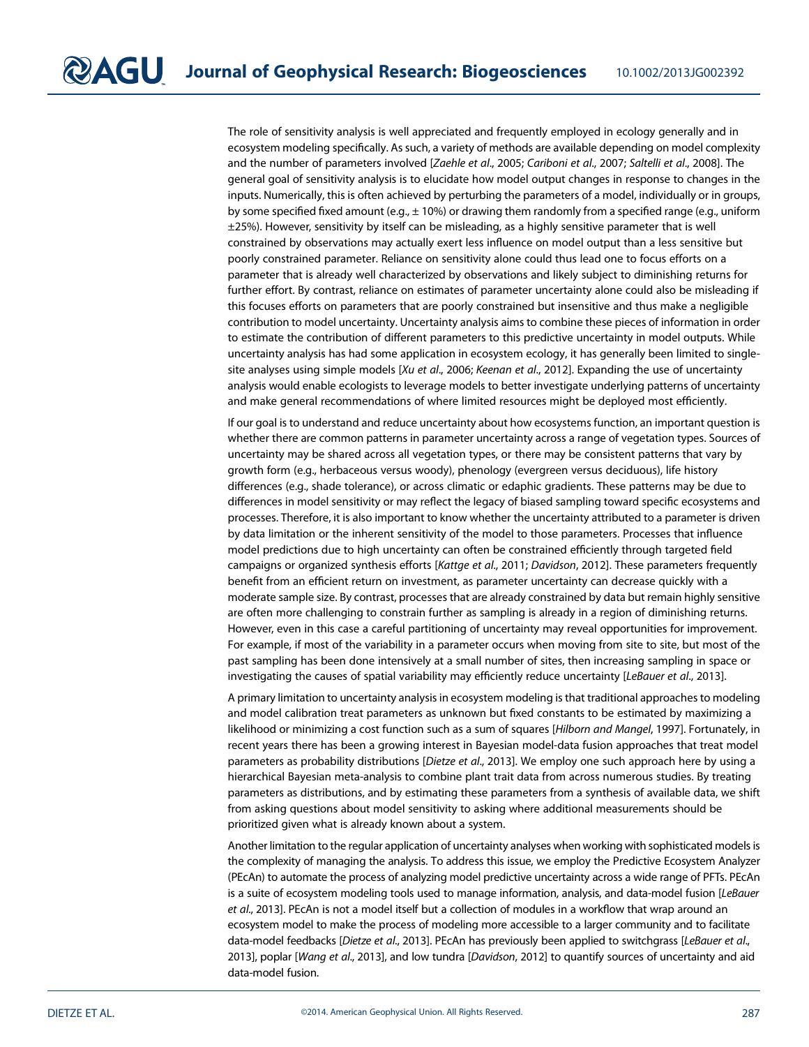The role of sensitivity analysis is well appreciated and frequently employed in ecology generally and in ecosystem modeling specifically. As such, a variety of methods are available depending on model complexity and the number of parameters involved [Zaehle et al., 2005; Cariboni et al., 2007; Saltelli et al., 2008]. The general goal of sensitivity analysis is to elucidate how model output changes in response to changes in the inputs. Numerically, this is often achieved by perturbing the parameters of a model, individually or in groups, by some specified fixed amount (e.g., ± 10%) or drawing them randomly from a specified range (e.g., uniform ±25%). However, sensitivity by itself can be misleading, as a highly sensitive parameter that is well constrained by observations may actually exert less influence on model output than a less sensitive but poorly constrained parameter. Reliance on sensitivity alone could thus lead one to focus efforts on a parameter that is already well characterized by observations and likely subject to diminishing returns for further effort. By contrast, reliance on estimates of parameter uncertainty alone could also be misleading if this focuses efforts on parameters that are poorly constrained but insensitive and thus make a negligible contribution to model uncertainty. Uncertainty analysis aims to combine these pieces of information in order to estimate the contribution of different parameters to this predictive uncertainty in model outputs. While uncertainty analysis has had some application in ecosystem ecology, it has generally been limited to singlesite analyses using simple models [Xu et al., 2006; Keenan et al., 2012]. Expanding the use of uncertainty analysis would enable ecologists to leverage models to better investigate underlying patterns of uncertainty and make general recommendations of where limited resources might be deployed most efficiently.

If our goal is to understand and reduce uncertainty about how ecosystems function, an important question is whether there are common patterns in parameter uncertainty across a range of vegetation types. Sources of uncertainty may be shared across all vegetation types, or there may be consistent patterns that vary by growth form (e.g., herbaceous versus woody), phenology (evergreen versus deciduous), life history differences (e.g., shade tolerance), or across climatic or edaphic gradients. These patterns may be due to differences in model sensitivity or may reflect the legacy of biased sampling toward specific ecosystems and processes. Therefore, it is also important to know whether the uncertainty attributed to a parameter is driven by data limitation or the inherent sensitivity of the model to those parameters. Processes that influence model predictions due to high uncertainty can often be constrained efficiently through targeted field campaigns or organized synthesis efforts [Kattge et al., 2011; Davidson, 2012]. These parameters frequently benefit from an efficient return on investment, as parameter uncertainty can decrease quickly with a moderate sample size. By contrast, processes that are already constrained by data but remain highly sensitive are often more challenging to constrain further as sampling is already in a region of diminishing returns. However, even in this case a careful partitioning of uncertainty may reveal opportunities for improvement. For example, if most of the variability in a parameter occurs when moving from site to site, but most of the past sampling has been done intensively at a small number of sites, then increasing sampling in space or investigating the causes of spatial variability may efficiently reduce uncertainty [LeBauer et al., 2013].

A primary limitation to uncertainty analysis in ecosystem modeling is that traditional approaches to modeling and model calibration treat parameters as unknown but fixed constants to be estimated by maximizing a likelihood or minimizing a cost function such as a sum of squares [Hilborn and Mangel, 1997]. Fortunately, in recent years there has been a growing interest in Bayesian model-data fusion approaches that treat model parameters as probability distributions [Dietze et al., 2013]. We employ one such approach here by using a hierarchical Bayesian meta-analysis to combine plant trait data from across numerous studies. By treating parameters as distributions, and by estimating these parameters from a synthesis of available data, we shift from asking questions about model sensitivity to asking where additional measurements should be prioritized given what is already known about a system.

Another limitation to the regular application of uncertainty analyses when working with sophisticated models is the complexity of managing the analysis. To address this issue, we employ the Predictive Ecosystem Analyzer (PEcAn) to automate the process of analyzing model predictive uncertainty across a wide range of PFTs. PEcAn is a suite of ecosystem modeling tools used to manage information, analysis, and data-model fusion [LeBauer et al., 2013]. PEcAn is not a model itself but a collection of modules in a workflow that wrap around an ecosystem model to make the process of modeling more accessible to a larger community and to facilitate data-model feedbacks [Dietze et al., 2013]. PEcAn has previously been applied to switchgrass [LeBauer et al., 2013], poplar [Wang et al., 2013], and low tundra [Davidson, 2012] to quantify sources of uncertainty and aid data-model fusion.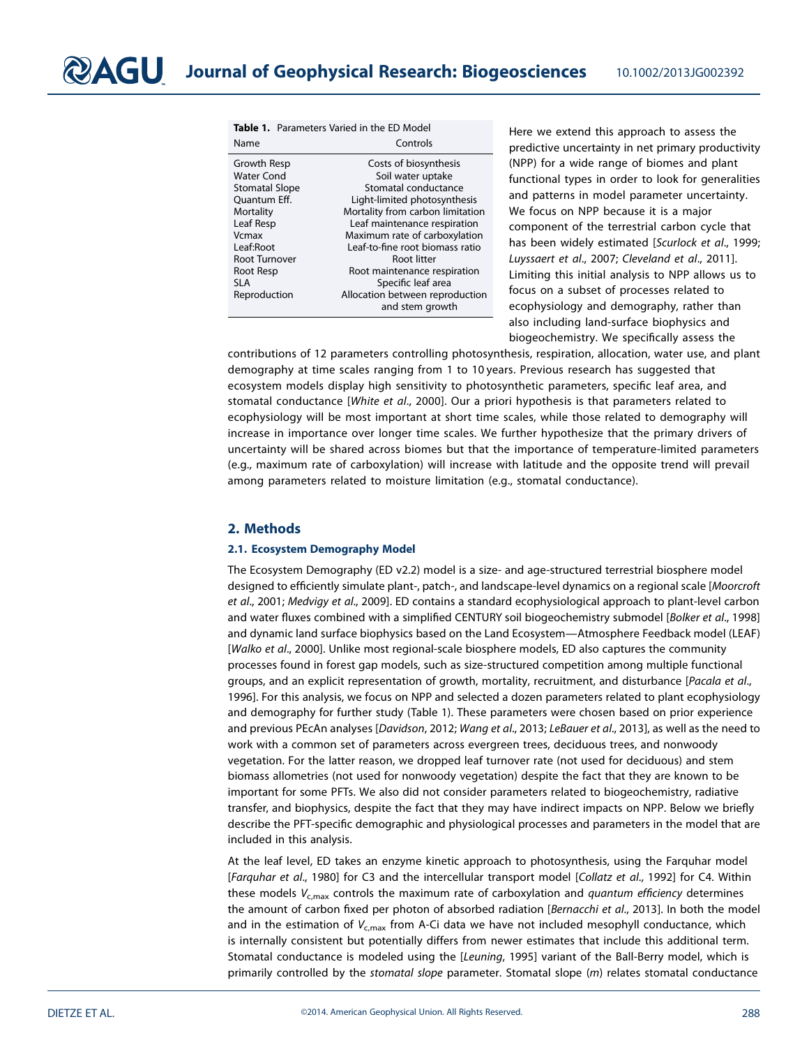|                                                                                                                                                                                              | Table 1. Parameters Varied in the ED Model                                                                                                                                                                                                                                                                                                         |
|----------------------------------------------------------------------------------------------------------------------------------------------------------------------------------------------|----------------------------------------------------------------------------------------------------------------------------------------------------------------------------------------------------------------------------------------------------------------------------------------------------------------------------------------------------|
| Name                                                                                                                                                                                         | Controls                                                                                                                                                                                                                                                                                                                                           |
| Growth Resp<br><b>Water Cond</b><br><b>Stomatal Slope</b><br><b>Ouantum Eff.</b><br>Mortality<br>Leaf Resp<br>Vcmax<br>Leaf:Root<br>Root Turnover<br>Root Resp<br><b>SLA</b><br>Reproduction | Costs of biosynthesis<br>Soil water uptake<br>Stomatal conductance<br>Light-limited photosynthesis<br>Mortality from carbon limitation<br>Leaf maintenance respiration<br>Maximum rate of carboxylation<br>Leaf-to-fine root biomass ratio<br>Root litter<br>Root maintenance respiration<br>Specific leaf area<br>Allocation between reproduction |
|                                                                                                                                                                                              | and stem growth                                                                                                                                                                                                                                                                                                                                    |

Here we extend this approach to assess the predictive uncertainty in net primary productivity (NPP) for a wide range of biomes and plant functional types in order to look for generalities and patterns in model parameter uncertainty. We focus on NPP because it is a major component of the terrestrial carbon cycle that has been widely estimated [Scurlock et al., 1999; Luyssaert et al., 2007; Cleveland et al., 2011]. Limiting this initial analysis to NPP allows us to focus on a subset of processes related to ecophysiology and demography, rather than also including land-surface biophysics and biogeochemistry. We specifically assess the

contributions of 12 parameters controlling photosynthesis, respiration, allocation, water use, and plant demography at time scales ranging from 1 to 10 years. Previous research has suggested that ecosystem models display high sensitivity to photosynthetic parameters, specific leaf area, and stomatal conductance [White et al., 2000]. Our a priori hypothesis is that parameters related to ecophysiology will be most important at short time scales, while those related to demography will increase in importance over longer time scales. We further hypothesize that the primary drivers of uncertainty will be shared across biomes but that the importance of temperature-limited parameters (e.g., maximum rate of carboxylation) will increase with latitude and the opposite trend will prevail among parameters related to moisture limitation (e.g., stomatal conductance).

#### 2. Methods

#### 2.1. Ecosystem Demography Model

The Ecosystem Demography (ED v2.2) model is a size- and age-structured terrestrial biosphere model designed to efficiently simulate plant-, patch-, and landscape-level dynamics on a regional scale [Moorcroft et al., 2001; Medvigy et al., 2009]. ED contains a standard ecophysiological approach to plant-level carbon and water fluxes combined with a simplified CENTURY soil biogeochemistry submodel [Bolker et al., 1998] and dynamic land surface biophysics based on the Land Ecosystem—Atmosphere Feedback model (LEAF) [Walko et al., 2000]. Unlike most regional-scale biosphere models, ED also captures the community processes found in forest gap models, such as size-structured competition among multiple functional groups, and an explicit representation of growth, mortality, recruitment, and disturbance [Pacala et al., 1996]. For this analysis, we focus on NPP and selected a dozen parameters related to plant ecophysiology and demography for further study (Table 1). These parameters were chosen based on prior experience and previous PEcAn analyses [Davidson, 2012; Wang et al., 2013; LeBauer et al., 2013], as well as the need to work with a common set of parameters across evergreen trees, deciduous trees, and nonwoody vegetation. For the latter reason, we dropped leaf turnover rate (not used for deciduous) and stem biomass allometries (not used for nonwoody vegetation) despite the fact that they are known to be important for some PFTs. We also did not consider parameters related to biogeochemistry, radiative transfer, and biophysics, despite the fact that they may have indirect impacts on NPP. Below we briefly describe the PFT-specific demographic and physiological processes and parameters in the model that are included in this analysis.

At the leaf level, ED takes an enzyme kinetic approach to photosynthesis, using the Farquhar model [Farquhar et al., 1980] for C3 and the intercellular transport model [Collatz et al., 1992] for C4. Within these models  $V_{\rm c,max}$  controls the maximum rate of carboxylation and quantum efficiency determines the amount of carbon fixed per photon of absorbed radiation [Bernacchi et al., 2013]. In both the model and in the estimation of  $V_{\text{c,max}}$  from A-Ci data we have not included mesophyll conductance, which is internally consistent but potentially differs from newer estimates that include this additional term. Stomatal conductance is modeled using the [Leuning, 1995] variant of the Ball-Berry model, which is primarily controlled by the stomatal slope parameter. Stomatal slope  $(m)$  relates stomatal conductance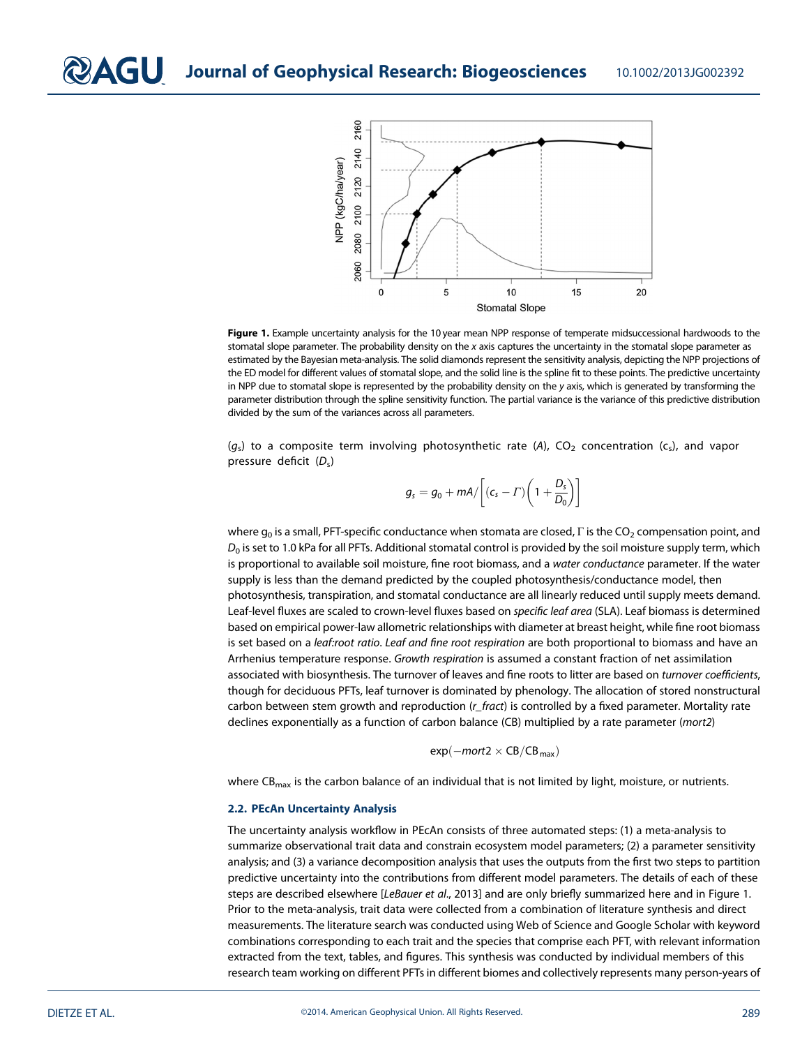

Figure 1. Example uncertainty analysis for the 10 year mean NPP response of temperate midsuccessional hardwoods to the stomatal slope parameter. The probability density on the  $x$  axis captures the uncertainty in the stomatal slope parameter as estimated by the Bayesian meta-analysis. The solid diamonds represent the sensitivity analysis, depicting the NPP projections of the ED model for different values of stomatal slope, and the solid line is the spline fit to these points. The predictive uncertainty in NPP due to stomatal slope is represented by the probability density on the y axis, which is generated by transforming the parameter distribution through the spline sensitivity function. The partial variance is the variance of this predictive distribution divided by the sum of the variances across all parameters.

 $(q_s)$  to a composite term involving photosynthetic rate (A), CO<sub>2</sub> concentration (c<sub>s</sub>), and vapor pressure deficit  $(D_s)$ 

$$
g_s = g_0 + mA / \left[ (c_s - \Gamma) \left( 1 + \frac{D_s}{D_0} \right) \right]
$$

where  $g_0$  is a small, PFT-specific conductance when stomata are closed, Γ is the CO<sub>2</sub> compensation point, and  $D_0$  is set to 1.0 kPa for all PFTs. Additional stomatal control is provided by the soil moisture supply term, which is proportional to available soil moisture, fine root biomass, and a water conductance parameter. If the water supply is less than the demand predicted by the coupled photosynthesis/conductance model, then photosynthesis, transpiration, and stomatal conductance are all linearly reduced until supply meets demand. Leaf-level fluxes are scaled to crown-level fluxes based on specific leaf area (SLA). Leaf biomass is determined based on empirical power-law allometric relationships with diameter at breast height, while fine root biomass is set based on a leaf:root ratio. Leaf and fine root respiration are both proportional to biomass and have an Arrhenius temperature response. Growth respiration is assumed a constant fraction of net assimilation associated with biosynthesis. The turnover of leaves and fine roots to litter are based on turnover coefficients, though for deciduous PFTs, leaf turnover is dominated by phenology. The allocation of stored nonstructural carbon between stem growth and reproduction  $(r_f$  fract) is controlled by a fixed parameter. Mortality rate declines exponentially as a function of carbon balance (CB) multiplied by a rate parameter (mort2)

$$
exp(-mort2 \times CB/CB_{max})
$$

where  $CB_{\text{max}}$  is the carbon balance of an individual that is not limited by light, moisture, or nutrients.

#### 2.2. PEcAn Uncertainty Analysis

The uncertainty analysis workflow in PEcAn consists of three automated steps: (1) a meta-analysis to summarize observational trait data and constrain ecosystem model parameters; (2) a parameter sensitivity analysis; and (3) a variance decomposition analysis that uses the outputs from the first two steps to partition predictive uncertainty into the contributions from different model parameters. The details of each of these steps are described elsewhere [LeBauer et al., 2013] and are only briefly summarized here and in Figure 1. Prior to the meta-analysis, trait data were collected from a combination of literature synthesis and direct measurements. The literature search was conducted using Web of Science and Google Scholar with keyword combinations corresponding to each trait and the species that comprise each PFT, with relevant information extracted from the text, tables, and figures. This synthesis was conducted by individual members of this research team working on different PFTs in different biomes and collectively represents many person-years of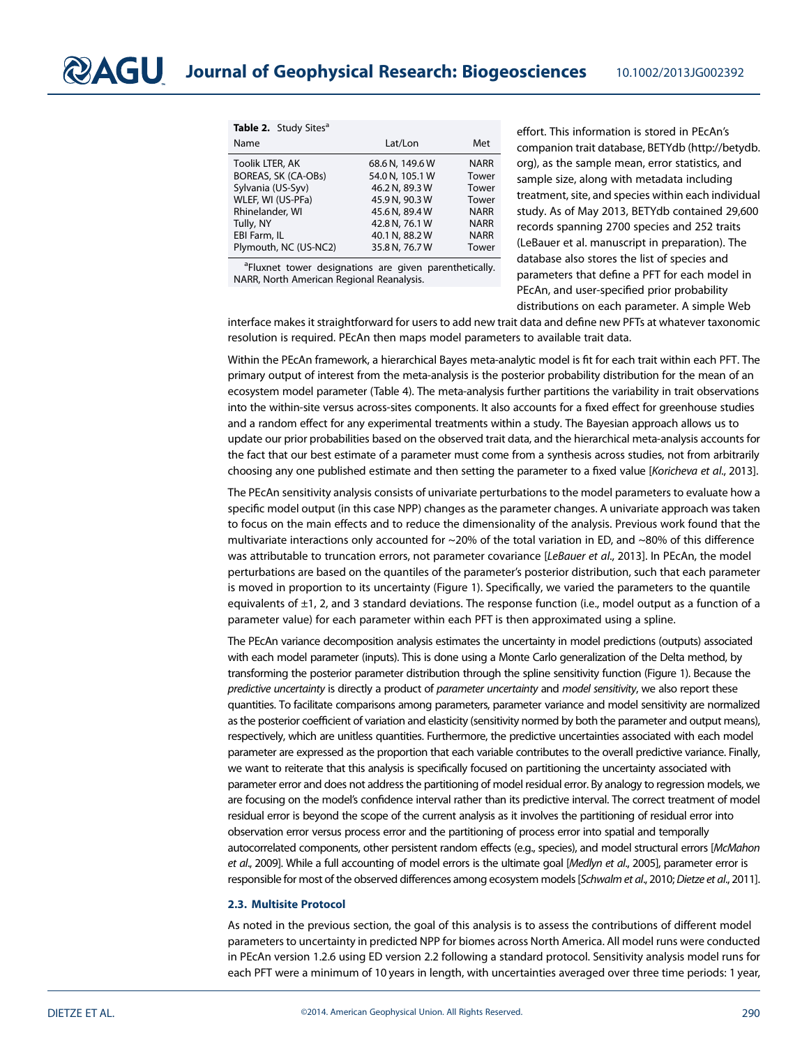| Table 2. Study Sites <sup>a</sup> |                 |             |
|-----------------------------------|-----------------|-------------|
| Name                              | Lat/Lon         | Met         |
| Toolik LTER, AK                   | 68.6 N, 149.6 W | <b>NARR</b> |
| BOREAS, SK (CA-OBs)               | 54.0 N, 105.1 W | Tower       |
| Sylvania (US-Syv)                 | 46.2 N, 89.3 W  | Tower       |
| WLEF, WI (US-PFa)                 | 45.9 N, 90.3 W  | Tower       |
| Rhinelander, WI                   | 45.6 N, 89.4 W  | <b>NARR</b> |
| Tully, NY                         | 42.8 N, 76.1 W  | <b>NARR</b> |
| EBI Farm, IL                      | 40.1 N, 88.2 W  | <b>NARR</b> |
| Plymouth, NC (US-NC2)             | 35.8 N, 76.7 W  | Tower       |

<sup>a</sup>Fluxnet tower designations are given parenthetically. NARR, North American Regional Reanalysis.

effort. This information is stored in PEcAn's companion trait database, BETYdb [\(http://betydb.](http://www.nature.com/nature/journal/v410/n6826/abs/410327a0.html) [org](http://www.nature.com/nature/journal/v410/n6826/abs/410327a0.html)), as the sample mean, error statistics, and sample size, along with metadata including treatment, site, and species within each individual study. As of May 2013, BETYdb contained 29,600 records spanning 2700 species and 252 traits (LeBauer et al. manuscript in preparation). The database also stores the list of species and parameters that define a PFT for each model in PEcAn, and user-specified prior probability distributions on each parameter. A simple Web

interface makes it straightforward for users to add new trait data and define new PFTs at whatever taxonomic resolution is required. PEcAn then maps model parameters to available trait data.

Within the PEcAn framework, a hierarchical Bayes meta-analytic model is fit for each trait within each PFT. The primary output of interest from the meta-analysis is the posterior probability distribution for the mean of an ecosystem model parameter (Table 4). The meta-analysis further partitions the variability in trait observations into the within-site versus across-sites components. It also accounts for a fixed effect for greenhouse studies and a random effect for any experimental treatments within a study. The Bayesian approach allows us to update our prior probabilities based on the observed trait data, and the hierarchical meta-analysis accounts for the fact that our best estimate of a parameter must come from a synthesis across studies, not from arbitrarily choosing any one published estimate and then setting the parameter to a fixed value [Koricheva et al., 2013].

The PEcAn sensitivity analysis consists of univariate perturbations to the model parameters to evaluate how a specific model output (in this case NPP) changes as the parameter changes. A univariate approach was taken to focus on the main effects and to reduce the dimensionality of the analysis. Previous work found that the multivariate interactions only accounted for  $\sim$ 20% of the total variation in ED, and  $\sim$ 80% of this difference was attributable to truncation errors, not parameter covariance [LeBauer et al., 2013]. In PEcAn, the model perturbations are based on the quantiles of the parameter's posterior distribution, such that each parameter is moved in proportion to its uncertainty (Figure 1). Specifically, we varied the parameters to the quantile equivalents of ±1, 2, and 3 standard deviations. The response function (i.e., model output as a function of a parameter value) for each parameter within each PFT is then approximated using a spline.

The PEcAn variance decomposition analysis estimates the uncertainty in model predictions (outputs) associated with each model parameter (inputs). This is done using a Monte Carlo generalization of the Delta method, by transforming the posterior parameter distribution through the spline sensitivity function (Figure 1). Because the predictive uncertainty is directly a product of parameter uncertainty and model sensitivity, we also report these quantities. To facilitate comparisons among parameters, parameter variance and model sensitivity are normalized as the posterior coefficient of variation and elasticity (sensitivity normed by both the parameter and output means), respectively, which are unitless quantities. Furthermore, the predictive uncertainties associated with each model parameter are expressed as the proportion that each variable contributes to the overall predictive variance. Finally, we want to reiterate that this analysis is specifically focused on partitioning the uncertainty associated with parameter error and does not address the partitioning of model residual error. By analogy to regression models, we are focusing on the model's confidence interval rather than its predictive interval. The correct treatment of model residual error is beyond the scope of the current analysis as it involves the partitioning of residual error into observation error versus process error and the partitioning of process error into spatial and temporally autocorrelated components, other persistent random effects (e.g., species), and model structural errors [McMahon et al., 2009]. While a full accounting of model errors is the ultimate goal [Medlyn et al., 2005], parameter error is responsible for most of the observed differences among ecosystem models [Schwalm et al., 2010; Dietze et al., 2011].

#### 2.3. Multisite Protocol

As noted in the previous section, the goal of this analysis is to assess the contributions of different model parameters to uncertainty in predicted NPP for biomes across North America. All model runs were conducted in PEcAn version 1.2.6 using ED version 2.2 following a standard protocol. Sensitivity analysis model runs for each PFT were a minimum of 10 years in length, with uncertainties averaged over three time periods: 1 year,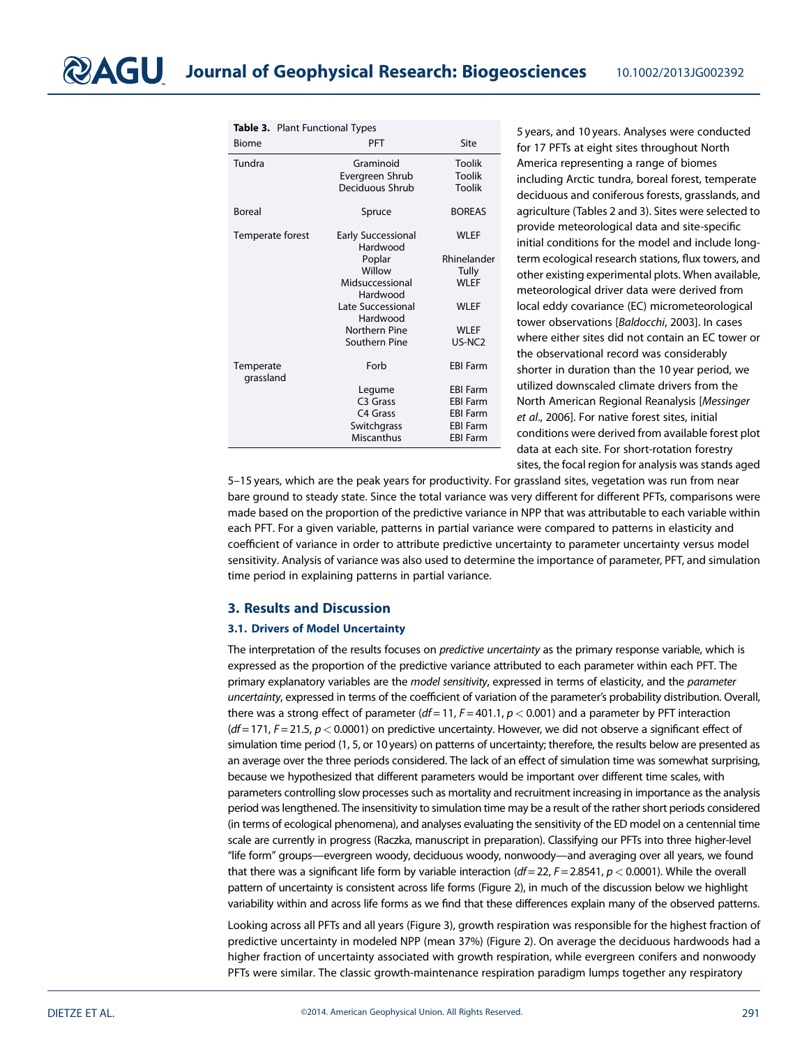| <b>PFT</b><br>Biome<br>Site<br>Tundra<br>Graminoid<br>Toolik<br><b>Toolik</b><br>Evergreen Shrub<br>Deciduous Shrub<br><b>Toolik</b><br><b>BOREAS</b><br><b>Boreal</b><br>Spruce<br><b>WLEF</b><br>Temperate forest<br>Early Successional<br>Hardwood<br>Rhinelander<br>Poplar<br>Willow<br>Tully<br><b>WLEF</b><br>Midsuccessional<br>Hardwood<br>Late Successional<br><b>WLEF</b><br>Hardwood<br>Northern Pine<br><b>WLEF</b><br>US-NC <sub>2</sub><br>Southern Pine<br>Forb<br><b>EBI Farm</b><br>Temperate<br>grassland<br><b>EBI Farm</b><br>Legume<br>C <sub>3</sub> Grass<br><b>EBI Farm</b><br>C4 Grass<br><b>EBI Farm</b><br><b>EBI Farm</b> | <b>Table 3.</b> Plant Functional Types |             |  |
|-------------------------------------------------------------------------------------------------------------------------------------------------------------------------------------------------------------------------------------------------------------------------------------------------------------------------------------------------------------------------------------------------------------------------------------------------------------------------------------------------------------------------------------------------------------------------------------------------------------------------------------------------------|----------------------------------------|-------------|--|
|                                                                                                                                                                                                                                                                                                                                                                                                                                                                                                                                                                                                                                                       |                                        |             |  |
|                                                                                                                                                                                                                                                                                                                                                                                                                                                                                                                                                                                                                                                       |                                        |             |  |
|                                                                                                                                                                                                                                                                                                                                                                                                                                                                                                                                                                                                                                                       |                                        |             |  |
|                                                                                                                                                                                                                                                                                                                                                                                                                                                                                                                                                                                                                                                       |                                        |             |  |
|                                                                                                                                                                                                                                                                                                                                                                                                                                                                                                                                                                                                                                                       |                                        |             |  |
|                                                                                                                                                                                                                                                                                                                                                                                                                                                                                                                                                                                                                                                       |                                        |             |  |
|                                                                                                                                                                                                                                                                                                                                                                                                                                                                                                                                                                                                                                                       |                                        |             |  |
|                                                                                                                                                                                                                                                                                                                                                                                                                                                                                                                                                                                                                                                       |                                        |             |  |
|                                                                                                                                                                                                                                                                                                                                                                                                                                                                                                                                                                                                                                                       |                                        |             |  |
|                                                                                                                                                                                                                                                                                                                                                                                                                                                                                                                                                                                                                                                       |                                        |             |  |
|                                                                                                                                                                                                                                                                                                                                                                                                                                                                                                                                                                                                                                                       |                                        |             |  |
|                                                                                                                                                                                                                                                                                                                                                                                                                                                                                                                                                                                                                                                       |                                        |             |  |
|                                                                                                                                                                                                                                                                                                                                                                                                                                                                                                                                                                                                                                                       |                                        |             |  |
|                                                                                                                                                                                                                                                                                                                                                                                                                                                                                                                                                                                                                                                       |                                        |             |  |
|                                                                                                                                                                                                                                                                                                                                                                                                                                                                                                                                                                                                                                                       |                                        |             |  |
|                                                                                                                                                                                                                                                                                                                                                                                                                                                                                                                                                                                                                                                       |                                        |             |  |
|                                                                                                                                                                                                                                                                                                                                                                                                                                                                                                                                                                                                                                                       |                                        |             |  |
|                                                                                                                                                                                                                                                                                                                                                                                                                                                                                                                                                                                                                                                       |                                        | Switchgrass |  |
| Miscanthus<br><b>EBI Farm</b>                                                                                                                                                                                                                                                                                                                                                                                                                                                                                                                                                                                                                         |                                        |             |  |

5 years, and 10 years. Analyses were conducted for 17 PFTs at eight sites throughout North America representing a range of biomes including Arctic tundra, boreal forest, temperate deciduous and coniferous forests, grasslands, and agriculture (Tables 2 and 3). Sites were selected to provide meteorological data and site-specific initial conditions for the model and include longterm ecological research stations, flux towers, and other existing experimental plots. When available, meteorological driver data were derived from local eddy covariance (EC) micrometeorological tower observations [Baldocchi, 2003]. In cases where either sites did not contain an EC tower or the observational record was considerably shorter in duration than the 10 year period, we utilized downscaled climate drivers from the North American Regional Reanalysis [Messinger et al., 2006]. For native forest sites, initial conditions were derived from available forest plot data at each site. For short-rotation forestry sites, the focal region for analysis was stands aged

5–15 years, which are the peak years for productivity. For grassland sites, vegetation was run from near bare ground to steady state. Since the total variance was very different for different PFTs, comparisons were made based on the proportion of the predictive variance in NPP that was attributable to each variable within each PFT. For a given variable, patterns in partial variance were compared to patterns in elasticity and coefficient of variance in order to attribute predictive uncertainty to parameter uncertainty versus model sensitivity. Analysis of variance was also used to determine the importance of parameter, PFT, and simulation time period in explaining patterns in partial variance.

#### 3. Results and Discussion

#### 3.1. Drivers of Model Uncertainty

The interpretation of the results focuses on predictive uncertainty as the primary response variable, which is expressed as the proportion of the predictive variance attributed to each parameter within each PFT. The primary explanatory variables are the model sensitivity, expressed in terms of elasticity, and the parameter uncertainty, expressed in terms of the coefficient of variation of the parameter's probability distribution. Overall, there was a strong effect of parameter ( $df = 11$ ,  $F = 401.1$ ,  $p < 0.001$ ) and a parameter by PFT interaction  $(df = 171, F = 21.5, p < 0.0001)$  on predictive uncertainty. However, we did not observe a significant effect of simulation time period (1, 5, or 10 years) on patterns of uncertainty; therefore, the results below are presented as an average over the three periods considered. The lack of an effect of simulation time was somewhat surprising, because we hypothesized that different parameters would be important over different time scales, with parameters controlling slow processes such as mortality and recruitment increasing in importance as the analysis period was lengthened. The insensitivity to simulation time may be a result of the rather short periods considered (in terms of ecological phenomena), and analyses evaluating the sensitivity of the ED model on a centennial time scale are currently in progress (Raczka, manuscript in preparation). Classifying our PFTs into three higher-level "life form" groups—evergreen woody, deciduous woody, nonwoody—and averaging over all years, we found that there was a significant life form by variable interaction  $(df=22, F=2.8541, p< 0.0001)$ . While the overall pattern of uncertainty is consistent across life forms (Figure 2), in much of the discussion below we highlight variability within and across life forms as we find that these differences explain many of the observed patterns.

Looking across all PFTs and all years (Figure 3), growth respiration was responsible for the highest fraction of predictive uncertainty in modeled NPP (mean 37%) (Figure 2). On average the deciduous hardwoods had a higher fraction of uncertainty associated with growth respiration, while evergreen conifers and nonwoody PFTs were similar. The classic growth-maintenance respiration paradigm lumps together any respiratory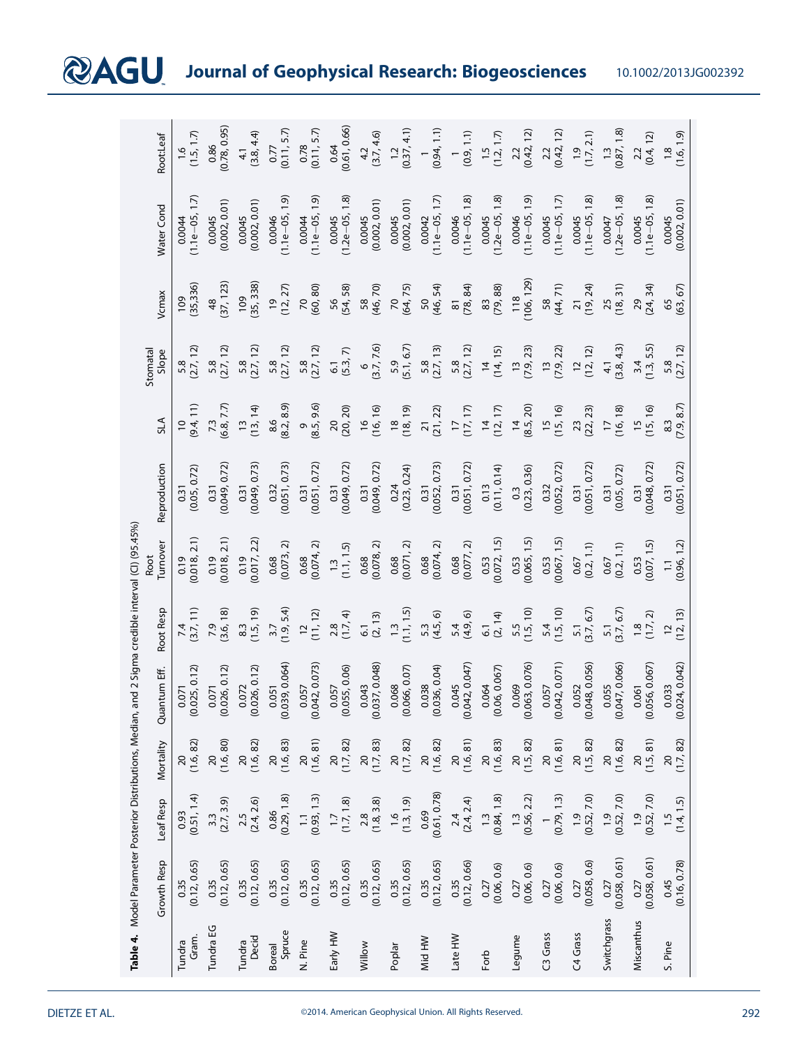|                      |                          |                                                   |                                                | Table 4. Model Parameter Posterior Distributions, Median, and 2 Sigma credible interval (Cl) (95.45%) |                             |                                                   |                                                      |                                      |                            |                                      |                               |                                                  |
|----------------------|--------------------------|---------------------------------------------------|------------------------------------------------|-------------------------------------------------------------------------------------------------------|-----------------------------|---------------------------------------------------|------------------------------------------------------|--------------------------------------|----------------------------|--------------------------------------|-------------------------------|--------------------------------------------------|
|                      | <b>Growth Resp</b>       | Leaf Resp                                         | Mortality                                      | Quantum Eff.                                                                                          | Root Resp                   | Turnover<br>Root                                  | Reproduction                                         | SLA                                  | Stomatal<br>Slope          | <b>/cmax</b>                         | <b>Nater Cond</b>             | <b>Real:</b>                                     |
| Gram.<br>Tundra      | (0.12, 0.65)<br>0.35     | $0.93$<br>$(0.51, 1.4)$                           | $\frac{20}{(1.6, 82)}$                         | .025, 0.12<br>0.071<br>$\circ$                                                                        | $7,4$<br>(3.7, 11)          | (0.018, 2.1)<br>0.19                              | $\begin{array}{c} 0.31 \\ 0.05, 0.72 \end{array}$    | (9.4, 11)                            | $\frac{5.8}{2.7}$ , 12)    | (35, 336)<br><b>901</b>              | $0.0044$<br>(1.1e-05, 1.7)    | $\frac{1.6}{(1.5, 1.7)}$                         |
| Tundra EG            | $0.35$<br>$(0.12, 0.65)$ | $\frac{3.3}{(2.7, 3.9)}$                          | $\frac{20}{(1.6, 80)}$                         | .026, 0.12<br>0.071<br>$\circ$                                                                        | (3.6, 18)<br>7.9            | $\begin{array}{c} 0.19 \\ 0.018, 2.1 \end{array}$ | 0.049, 0.72)<br>0.31                                 | $7.3$<br>(6.8, 7.7)                  | 5.8                        | (37, 123)                            | $0.0045$<br>$(0.002, 0.01)$   | $\frac{0.86}{(0.78, 0.95)}$                      |
| Decid<br>Tundra      | (0.12, 0.65)<br>0.35     | (2.4, 2.6)<br>2.5                                 | (1.6, 82)<br>20                                | .026, 0.12)<br>0.072<br>$\circ$                                                                       | (1.5, 19)<br>8.3            | $\begin{array}{c} 0.19 \\ 0.017, 2.2 \end{array}$ | (0.049, 0.73)<br>0.31                                | (13, 14)<br>$\frac{1}{2}$            | (2.7, 12)<br>5.8           | (35, 338)<br>109                     | $0.0045$<br>$(0.002, 0.01)$   | $\begin{array}{c} 4.1 \\ (3.8, 4.4) \end{array}$ |
| Spruce<br>Boreal     | (0.12, 0.65)<br>0.35     | $\frac{0.86}{(0.29, 1.8)}$                        | $\begin{array}{c} 20 \\ (1.6, 83) \end{array}$ | (0.039, 0.064)<br>0.051                                                                               | (1.9, 5.4)<br>3.7           | $\frac{0.68}{(0.073, 2)}$                         | (0.051, 0.73)<br>0.32                                | (8.2, 8.9)<br>8.6                    | (2.7, 12)<br>5.8           | (12, 27)<br>$\overline{6}$           | $(1.1e - 05, 1.9)$<br>0.0046  | (0.11, 5.7)<br>0.77                              |
| N. Pine              | (0.12, 0.65)<br>0.35     | $\begin{array}{c} 1.1 \\ (0.93, 1.3) \end{array}$ | (1.6, 81)<br>$\overline{20}$                   | (0.042, 0.073)<br>0.057                                                                               | (11, 12)<br>$\overline{c}$  | (0.074, 2)<br>0.68                                | (0.051, 0.72)<br>0.31                                | (8.5, 9.6)<br>$\circ$                | (2.7, 12)<br>5.8           | (60, 80)<br>$\overline{2}$           | $(1.1e-0.5, 1.9)$<br>0.0044   | (0.11, 5.7)<br>0.78                              |
| Early HW             | (0.12, 0.65)<br>0.35     | $\frac{1.7}{(1.7, 1.8)}$                          | $\frac{20}{(1.7, 82)}$                         | $\begin{array}{c} 0.057 \\ 0.055, 0.06) \end{array}$                                                  | (1.7, 4)<br>2.8             | (1.1, 1.5)<br>$\frac{1}{2}$                       | (0.049, 0.72)<br>0.31                                | (20, 20)<br>20                       | (5.3, 7)<br>$\overline{6}$ | (54, 58)<br>56                       | $(1.2e - 0.5, 1.8)$<br>0.0045 | (0.61, 0.66)<br>0.64                             |
| Willow               | (0.12, 0.65)<br>0.35     | $\frac{2.8}{(1.8, 3.8)}$                          | $\frac{20}{(1.7, 83)}$                         | $0.043$<br>(0.037, 0.048)                                                                             | (2, 13)<br>$\overline{6}$ . | (0.078, 2)<br>0.68                                | $\begin{array}{c} 0.31 \\ (0.049, 0.72) \end{array}$ | (16, 16)<br>$\frac{6}{2}$            | $6$<br>(3.7, 7.6)          | (46, 70)<br>58                       | (0.002, 0.01)<br>0.0045       | (3.7, 4.6)<br>4.2                                |
| Poplar               | (0.12, 0.65)<br>0.35     | $\frac{1.6}{(1.3, 1.9)}$                          | $\frac{20}{(1.7, 82)}$                         | $0.068$<br>$(0.066, 0.07)$                                                                            | $\frac{1.3}{(1.1, 1.5)}$    | $\frac{0.68}{(0.071, 2)}$                         | $0.24$<br>$(0.23, 0.24)$                             | $\frac{18}{(18, 19)}$                | (5.1, 6.7)<br>5.9          | (64, 75)<br>$\overline{\mathcal{L}}$ | $0.0045$<br>$(0.002, 0.01)$   | $\frac{1.2}{(0.37, 4.1)}$                        |
| Mid HW               | $0.35$<br>$(0.12, 0.65)$ | (0.61, 0.78)<br>0.69                              | $\frac{20}{(1.6, 82)}$                         | $\begin{array}{c} 0.038 \\ 0.036, 0.04) \end{array}$                                                  | (4.5, 6)<br>5.3             | $0.68$<br>$(0.074, 2)$                            | $\begin{array}{c} 0.31 \\ 0.052, 0.73 \end{array}$   | (21, 22)<br>$\overline{21}$          | $\frac{5.8}{(2.7, 13)}$    | (46, 54)<br>50                       | $(1.1e - 05, 1.7)$<br>0.0042  | (0.94, 1.1)                                      |
| Late HW              | $0.35$<br>$(0.12, 0.66)$ | $2.4$<br>(2.4, 2.4)                               | $\frac{20}{(1.6, 81)}$                         | $0.045$<br>(0.042, 0.047)                                                                             | 5.4<br>(4.9, 6)             | $\frac{0.68}{(0.077, 2)}$                         | $\begin{array}{c} 0.31 \\ (0.051, 0.72) \end{array}$ | (17, 17)<br>$\overline{\phantom{a}}$ | $\frac{5.8}{(2.7, 12)}$    | (78, 84)<br>$\overline{8}$           | $0.0046$<br>(1.1e-05, 1.8)    | (0.9, 1.1)                                       |
| Forb                 | $0.27$<br>$(0.06, 0.6)$  | $\begin{array}{c} 1.3 \\ 0.84, 1.8 \end{array}$   | (1.6, 83)<br>$\overline{c}$                    | $0.064$<br>$(0.06, 0.067)$                                                                            | (2, 14)<br>6.1              | $\begin{array}{c} 0.53 \\ 0.072, 1.5 \end{array}$ | $\begin{array}{c} 0.13 \\ 0.11, 0.14 \end{array}$    | (12, 17)<br>$\frac{4}{3}$            | $\frac{14}{(14, 15)}$      | (79, 88)<br>83                       | $0.0045$<br>(1.2e-05, 1.8)    | $\frac{1.5}{(1.2, 1.7)}$                         |
| Legume               | $0.27$<br>$(0.06, 0.6)$  |                                                   | $\frac{20}{(1.5, 82)}$                         | $0.069$<br>$(0.063, 0.076)$                                                                           | $\frac{5.5}{(1.5, 10)}$     | $0.53$<br>$(0.065, 1.5)$                          | $\frac{0.3}{(0.23, 0.36)}$                           | $\frac{14}{(8.5, 20)}$               | $\frac{13}{(7.9, 23)}$     | (106, 129)<br>$\frac{18}{18}$        | $0.0046$<br>(1.1e-05, 1.9)    | $\frac{2.2}{(0.42, 12)}$                         |
| C <sub>3</sub> Grass | $0.27$<br>$(0.06, 0.6)$  | $(0.56, 2.2)$<br>$(0.56, 2.2)$<br>$(0.79, 1.3)$   | $\frac{20}{(1.6, 81)}$                         | $0.057$<br>$(0.042, 0.071)$                                                                           | $\frac{5.4}{(1.5, 10)}$     | $\frac{0.53}{(0.067, 1.5)}$                       | $0.32$<br>(0.052, 0.72)                              | $\frac{15}{(15, 16)}$                | $\frac{13}{(7.9, 22)}$     | 58<br>(44, 71)                       | $0.0045$<br>(1.1e-05, 1.7)    | $\frac{2.2}{(0.42, 12)}$                         |
| C4 Grass             | $0.27$<br>$(0.058, 0.6)$ | $\begin{array}{c} 1.9 \\ 0.52, 7.0 \end{array}$   | $\frac{20}{(1.5, 82)}$                         | $0.052$<br>$(0.048, 0.056)$                                                                           | (3.7, 6.7)<br>5.1           | $\frac{0.67}{(0.2, 1.1)}$                         | $\begin{array}{c} 0.31 \\ 0.051, 0.72 \end{array}$   | (22, 23)<br>23                       | (12, 12)<br>$\overline{c}$ | (19, 24)<br>$\overline{21}$          | $0.0045$<br>(1.1e-05, 1.8)    | $\frac{1.9}{(1.7, 2.1)}$                         |
| Switchgrass          | $0.27$<br>(0.058, 0.61)  | $\begin{array}{c} 1.9 \\ 0.52, 7.0 \end{array}$   | (1.6, 82)<br>20                                | $0.055$<br>(0.047, 0.066)                                                                             | (3.7, 6.7)<br>5.1           | $\frac{0.67}{(0.2, 1.1)}$                         | $\begin{array}{c} 0.31 \\ 0.05, 0.72 \end{array}$    | (16, 18)<br>$\overline{1}$           | (3.8, 4.3)<br>4.1          | (18, 31)<br>25                       | $(1.2e - 05, 1.8)$<br>0.0047  | $\frac{1.3}{(0.87, 1.8)}$                        |
| Miscanthus           | (0.058, 0.61)<br>0.27    | $\begin{array}{c} 1.9 \\ 0.52, 7.0 \end{array}$   | (1.5, 81)<br>20                                | (0.056, 0.067)<br>0.061                                                                               | $\frac{1.8}{(1.7, 2)}$      | $\begin{array}{c} 0.53 \\ 0.07, 1.5 \end{array}$  | 0.048, 0.72)<br>0.31                                 | (15, 16)<br>15                       | 1.3, 5.5)<br>3.4           | (24, 34)<br>29                       | $(1.1e - 05, 1.8)$<br>0.0045  | $2.2$<br>(0.4, 12)                               |
| S. Pine              | $0.45$<br>(0.16, 0.78)   | $\frac{1.5}{(1.4, 1.5)}$                          | $\frac{20}{(1.7, 82)}$                         | $0.033$<br>$(0.024, 0.042)$                                                                           | (12, 13)                    | 0.96, 1.2                                         | $\begin{array}{c} 0.31 \\ 0.051, 0.72 \end{array}$   | $\frac{8.3}{(7.9, 8.7)}$             | $\frac{5.8}{(2.7, 12)}$    | (63, 67)<br>65                       | $0.0045$<br>$(0.002, 0.01)$   | $\frac{1.8}{(1.6, 1.9)}$                         |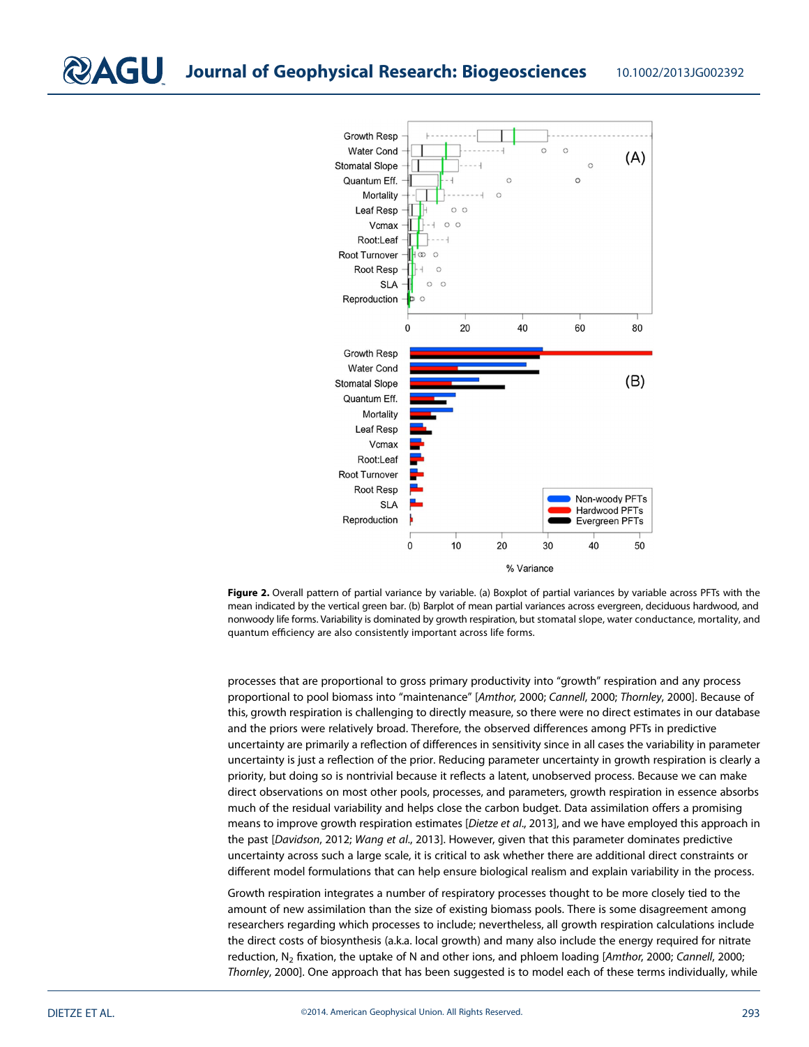

Figure 2. Overall pattern of partial variance by variable. (a) Boxplot of partial variances by variable across PFTs with the mean indicated by the vertical green bar. (b) Barplot of mean partial variances across evergreen, deciduous hardwood, and nonwoody life forms. Variability is dominated by growth respiration, but stomatal slope, water conductance, mortality, and quantum efficiency are also consistently important across life forms.

processes that are proportional to gross primary productivity into "growth" respiration and any process proportional to pool biomass into "maintenance" [Amthor, 2000; Cannell, 2000; Thornley, 2000]. Because of this, growth respiration is challenging to directly measure, so there were no direct estimates in our database and the priors were relatively broad. Therefore, the observed differences among PFTs in predictive uncertainty are primarily a reflection of differences in sensitivity since in all cases the variability in parameter uncertainty is just a reflection of the prior. Reducing parameter uncertainty in growth respiration is clearly a priority, but doing so is nontrivial because it reflects a latent, unobserved process. Because we can make direct observations on most other pools, processes, and parameters, growth respiration in essence absorbs much of the residual variability and helps close the carbon budget. Data assimilation offers a promising means to improve growth respiration estimates [Dietze et al., 2013], and we have employed this approach in the past [Davidson, 2012; Wang et al., 2013]. However, given that this parameter dominates predictive uncertainty across such a large scale, it is critical to ask whether there are additional direct constraints or different model formulations that can help ensure biological realism and explain variability in the process.

Growth respiration integrates a number of respiratory processes thought to be more closely tied to the amount of new assimilation than the size of existing biomass pools. There is some disagreement among researchers regarding which processes to include; nevertheless, all growth respiration calculations include the direct costs of biosynthesis (a.k.a. local growth) and many also include the energy required for nitrate reduction,  $N_2$  fixation, the uptake of N and other ions, and phloem loading [Amthor, 2000; Cannell, 2000; Thornley, 2000]. One approach that has been suggested is to model each of these terms individually, while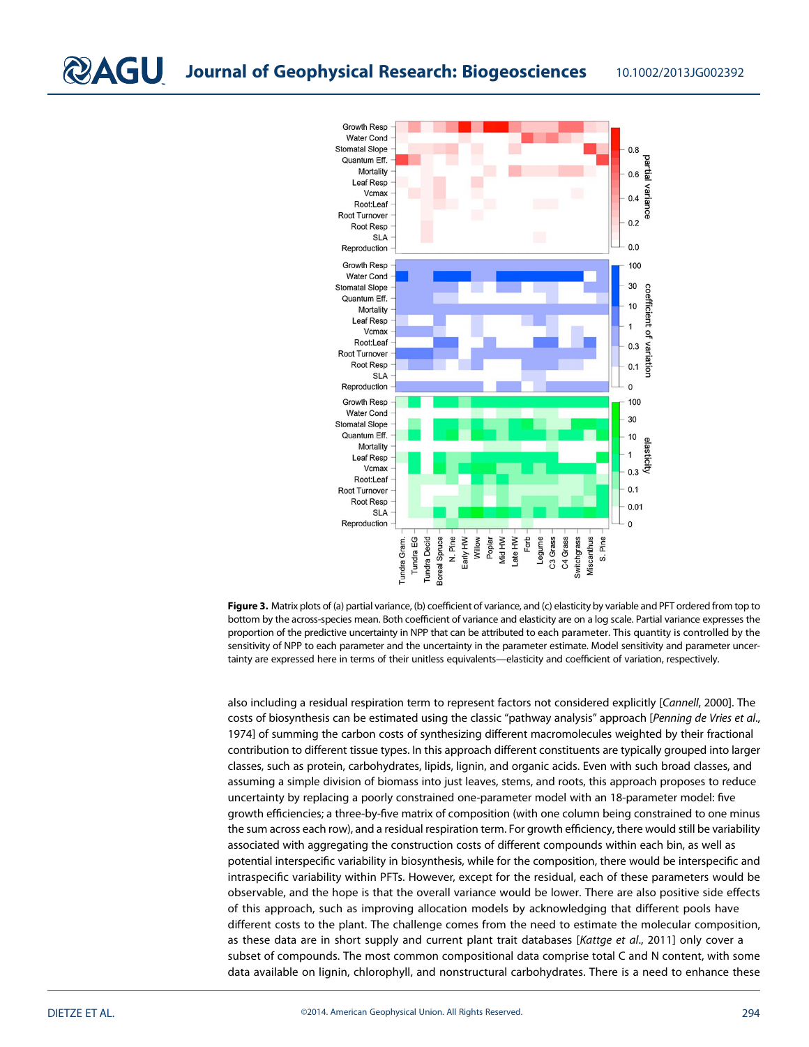**QAGU** Journal of Geophysical Research: Biogeosciences 10.1002/2013JG002392





also including a residual respiration term to represent factors not considered explicitly [Cannell, 2000]. The costs of biosynthesis can be estimated using the classic "pathway analysis" approach [Penning de Vries et al., 1974] of summing the carbon costs of synthesizing different macromolecules weighted by their fractional contribution to different tissue types. In this approach different constituents are typically grouped into larger classes, such as protein, carbohydrates, lipids, lignin, and organic acids. Even with such broad classes, and assuming a simple division of biomass into just leaves, stems, and roots, this approach proposes to reduce uncertainty by replacing a poorly constrained one-parameter model with an 18-parameter model: five growth efficiencies; a three-by-five matrix of composition (with one column being constrained to one minus the sum across each row), and a residual respiration term. For growth efficiency, there would still be variability associated with aggregating the construction costs of different compounds within each bin, as well as potential interspecific variability in biosynthesis, while for the composition, there would be interspecific and intraspecific variability within PFTs. However, except for the residual, each of these parameters would be observable, and the hope is that the overall variance would be lower. There are also positive side effects of this approach, such as improving allocation models by acknowledging that different pools have different costs to the plant. The challenge comes from the need to estimate the molecular composition, as these data are in short supply and current plant trait databases [Kattge et al., 2011] only cover a subset of compounds. The most common compositional data comprise total C and N content, with some data available on lignin, chlorophyll, and nonstructural carbohydrates. There is a need to enhance these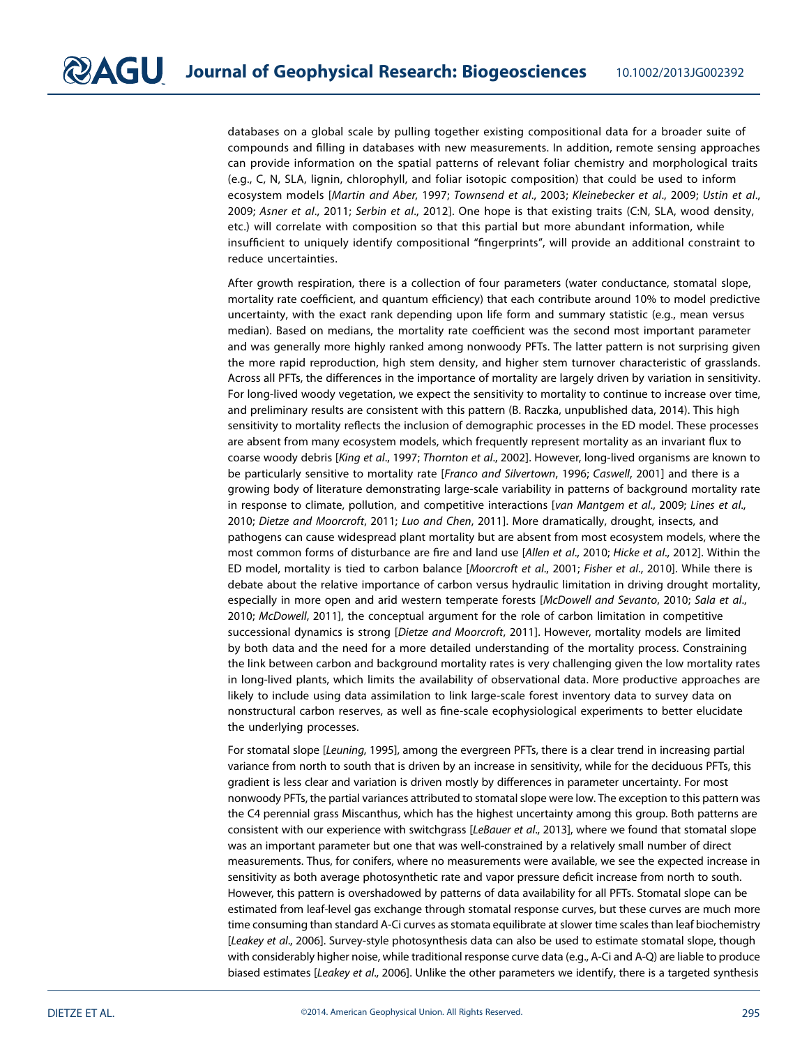databases on a global scale by pulling together existing compositional data for a broader suite of compounds and filling in databases with new measurements. In addition, remote sensing approaches can provide information on the spatial patterns of relevant foliar chemistry and morphological traits (e.g., C, N, SLA, lignin, chlorophyll, and foliar isotopic composition) that could be used to inform ecosystem models [Martin and Aber, 1997; Townsend et al., 2003; Kleinebecker et al., 2009; Ustin et al., 2009; Asner et al., 2011; Serbin et al., 2012]. One hope is that existing traits (C:N, SLA, wood density, etc.) will correlate with composition so that this partial but more abundant information, while insufficient to uniquely identify compositional "fingerprints", will provide an additional constraint to reduce uncertainties.

After growth respiration, there is a collection of four parameters (water conductance, stomatal slope, mortality rate coefficient, and quantum efficiency) that each contribute around 10% to model predictive uncertainty, with the exact rank depending upon life form and summary statistic (e.g., mean versus median). Based on medians, the mortality rate coefficient was the second most important parameter and was generally more highly ranked among nonwoody PFTs. The latter pattern is not surprising given the more rapid reproduction, high stem density, and higher stem turnover characteristic of grasslands. Across all PFTs, the differences in the importance of mortality are largely driven by variation in sensitivity. For long-lived woody vegetation, we expect the sensitivity to mortality to continue to increase over time, and preliminary results are consistent with this pattern (B. Raczka, unpublished data, 2014). This high sensitivity to mortality reflects the inclusion of demographic processes in the ED model. These processes are absent from many ecosystem models, which frequently represent mortality as an invariant flux to coarse woody debris [King et al., 1997; Thornton et al., 2002]. However, long-lived organisms are known to be particularly sensitive to mortality rate [Franco and Silvertown, 1996; Caswell, 2001] and there is a growing body of literature demonstrating large-scale variability in patterns of background mortality rate in response to climate, pollution, and competitive interactions [van Mantgem et al., 2009; Lines et al., 2010; Dietze and Moorcroft, 2011; Luo and Chen, 2011]. More dramatically, drought, insects, and pathogens can cause widespread plant mortality but are absent from most ecosystem models, where the most common forms of disturbance are fire and land use [Allen et al., 2010; Hicke et al., 2012]. Within the ED model, mortality is tied to carbon balance [Moorcroft et al., 2001; Fisher et al., 2010]. While there is debate about the relative importance of carbon versus hydraulic limitation in driving drought mortality, especially in more open and arid western temperate forests [McDowell and Sevanto, 2010; Sala et al., 2010; McDowell, 2011], the conceptual argument for the role of carbon limitation in competitive successional dynamics is strong [Dietze and Moorcroft, 2011]. However, mortality models are limited by both data and the need for a more detailed understanding of the mortality process. Constraining the link between carbon and background mortality rates is very challenging given the low mortality rates in long-lived plants, which limits the availability of observational data. More productive approaches are likely to include using data assimilation to link large-scale forest inventory data to survey data on nonstructural carbon reserves, as well as fine-scale ecophysiological experiments to better elucidate the underlying processes.

For stomatal slope [Leuning, 1995], among the evergreen PFTs, there is a clear trend in increasing partial variance from north to south that is driven by an increase in sensitivity, while for the deciduous PFTs, this gradient is less clear and variation is driven mostly by differences in parameter uncertainty. For most nonwoody PFTs, the partial variances attributed to stomatal slope were low. The exception to this pattern was the C4 perennial grass Miscanthus, which has the highest uncertainty among this group. Both patterns are consistent with our experience with switchgrass [LeBauer et al., 2013], where we found that stomatal slope was an important parameter but one that was well-constrained by a relatively small number of direct measurements. Thus, for conifers, where no measurements were available, we see the expected increase in sensitivity as both average photosynthetic rate and vapor pressure deficit increase from north to south. However, this pattern is overshadowed by patterns of data availability for all PFTs. Stomatal slope can be estimated from leaf-level gas exchange through stomatal response curves, but these curves are much more time consuming than standard A-Ci curves as stomata equilibrate at slower time scales than leaf biochemistry [Leakey et al., 2006]. Survey-style photosynthesis data can also be used to estimate stomatal slope, though with considerably higher noise, while traditional response curve data (e.g., A-Ci and A-Q) are liable to produce biased estimates [Leakey et al., 2006]. Unlike the other parameters we identify, there is a targeted synthesis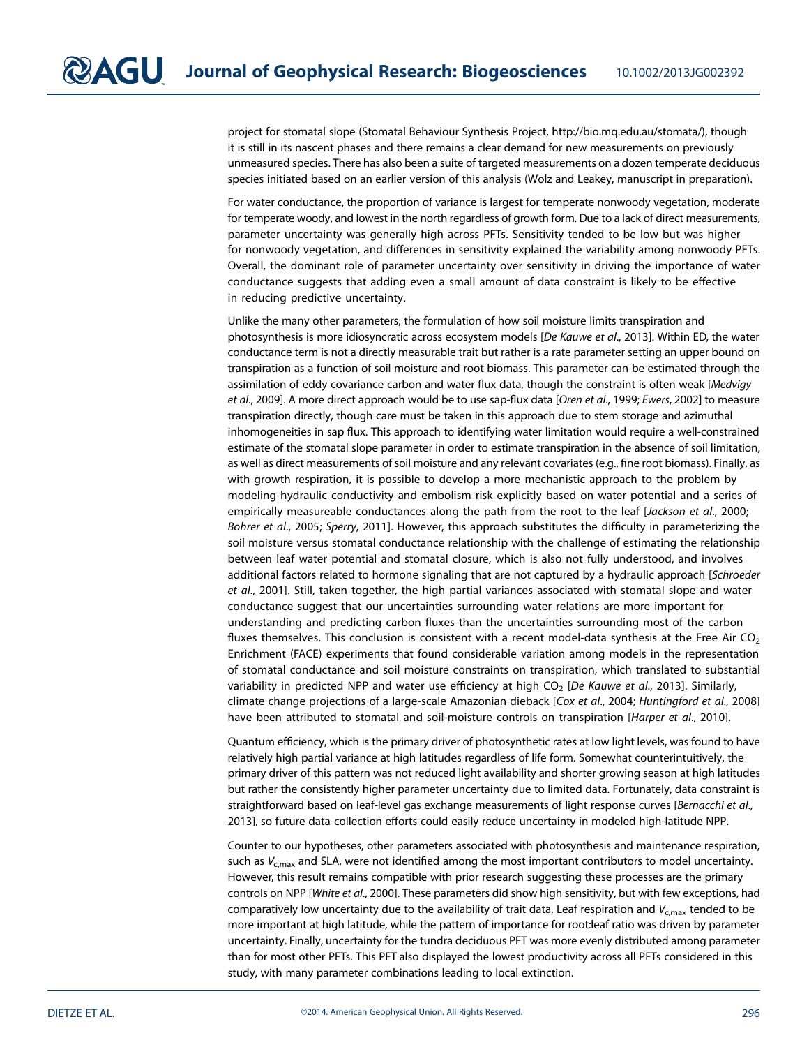project for stomatal slope (Stomatal Behaviour Synthesis Project,<http://bio.mq.edu.au/stomata/>), though it is still in its nascent phases and there remains a clear demand for new measurements on previously unmeasured species. There has also been a suite of targeted measurements on a dozen temperate deciduous species initiated based on an earlier version of this analysis (Wolz and Leakey, manuscript in preparation).

For water conductance, the proportion of variance is largest for temperate nonwoody vegetation, moderate for temperate woody, and lowest in the north regardless of growth form. Due to a lack of direct measurements, parameter uncertainty was generally high across PFTs. Sensitivity tended to be low but was higher for nonwoody vegetation, and differences in sensitivity explained the variability among nonwoody PFTs. Overall, the dominant role of parameter uncertainty over sensitivity in driving the importance of water conductance suggests that adding even a small amount of data constraint is likely to be effective in reducing predictive uncertainty.

Unlike the many other parameters, the formulation of how soil moisture limits transpiration and photosynthesis is more idiosyncratic across ecosystem models [De Kauwe et al., 2013]. Within ED, the water conductance term is not a directly measurable trait but rather is a rate parameter setting an upper bound on transpiration as a function of soil moisture and root biomass. This parameter can be estimated through the assimilation of eddy covariance carbon and water flux data, though the constraint is often weak [Medvigy et al., 2009]. A more direct approach would be to use sap-flux data [Oren et al., 1999; Ewers, 2002] to measure transpiration directly, though care must be taken in this approach due to stem storage and azimuthal inhomogeneities in sap flux. This approach to identifying water limitation would require a well-constrained estimate of the stomatal slope parameter in order to estimate transpiration in the absence of soil limitation, as well as direct measurements of soil moisture and any relevant covariates (e.g., fine root biomass). Finally, as with growth respiration, it is possible to develop a more mechanistic approach to the problem by modeling hydraulic conductivity and embolism risk explicitly based on water potential and a series of empirically measureable conductances along the path from the root to the leaf [Jackson et al., 2000; Bohrer et al., 2005; Sperry, 2011]. However, this approach substitutes the difficulty in parameterizing the soil moisture versus stomatal conductance relationship with the challenge of estimating the relationship between leaf water potential and stomatal closure, which is also not fully understood, and involves additional factors related to hormone signaling that are not captured by a hydraulic approach [Schroeder et al., 2001]. Still, taken together, the high partial variances associated with stomatal slope and water conductance suggest that our uncertainties surrounding water relations are more important for understanding and predicting carbon fluxes than the uncertainties surrounding most of the carbon fluxes themselves. This conclusion is consistent with a recent model-data synthesis at the Free Air  $CO<sub>2</sub>$ Enrichment (FACE) experiments that found considerable variation among models in the representation of stomatal conductance and soil moisture constraints on transpiration, which translated to substantial variability in predicted NPP and water use efficiency at high  $CO<sub>2</sub>$  [De Kauwe et al., 2013]. Similarly, climate change projections of a large-scale Amazonian dieback [Cox et al., 2004; Huntingford et al., 2008] have been attributed to stomatal and soil-moisture controls on transpiration [Harper et al., 2010].

Quantum efficiency, which is the primary driver of photosynthetic rates at low light levels, was found to have relatively high partial variance at high latitudes regardless of life form. Somewhat counterintuitively, the primary driver of this pattern was not reduced light availability and shorter growing season at high latitudes but rather the consistently higher parameter uncertainty due to limited data. Fortunately, data constraint is straightforward based on leaf-level gas exchange measurements of light response curves [Bernacchi et al., 2013], so future data-collection efforts could easily reduce uncertainty in modeled high-latitude NPP.

Counter to our hypotheses, other parameters associated with photosynthesis and maintenance respiration, such as  $V_{\rm c,max}$  and SLA, were not identified among the most important contributors to model uncertainty. However, this result remains compatible with prior research suggesting these processes are the primary controls on NPP [White et al., 2000]. These parameters did show high sensitivity, but with few exceptions, had comparatively low uncertainty due to the availability of trait data. Leaf respiration and  $V_{c,max}$  tended to be more important at high latitude, while the pattern of importance for root:leaf ratio was driven by parameter uncertainty. Finally, uncertainty for the tundra deciduous PFT was more evenly distributed among parameter than for most other PFTs. This PFT also displayed the lowest productivity across all PFTs considered in this study, with many parameter combinations leading to local extinction.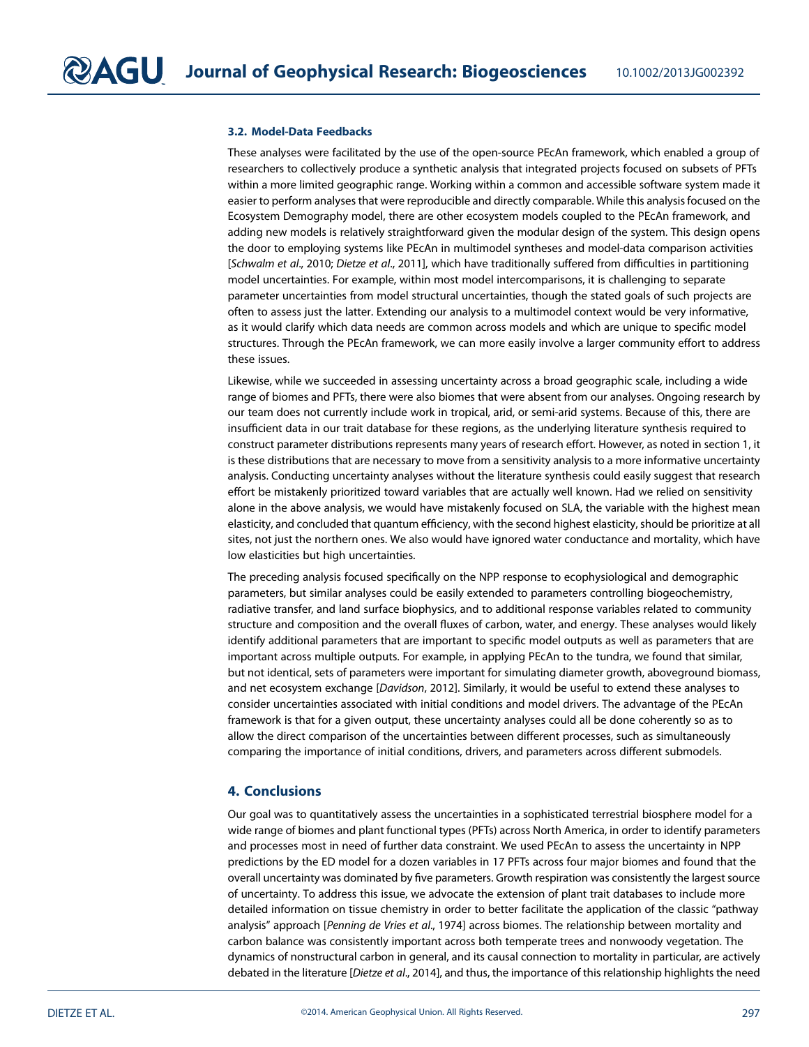#### 3.2. Model-Data Feedbacks

These analyses were facilitated by the use of the open-source PEcAn framework, which enabled a group of researchers to collectively produce a synthetic analysis that integrated projects focused on subsets of PFTs within a more limited geographic range. Working within a common and accessible software system made it easier to perform analyses that were reproducible and directly comparable. While this analysis focused on the Ecosystem Demography model, there are other ecosystem models coupled to the PEcAn framework, and adding new models is relatively straightforward given the modular design of the system. This design opens the door to employing systems like PEcAn in multimodel syntheses and model-data comparison activities [Schwalm et al., 2010; Dietze et al., 2011], which have traditionally suffered from difficulties in partitioning model uncertainties. For example, within most model intercomparisons, it is challenging to separate parameter uncertainties from model structural uncertainties, though the stated goals of such projects are often to assess just the latter. Extending our analysis to a multimodel context would be very informative, as it would clarify which data needs are common across models and which are unique to specific model structures. Through the PEcAn framework, we can more easily involve a larger community effort to address these issues.

Likewise, while we succeeded in assessing uncertainty across a broad geographic scale, including a wide range of biomes and PFTs, there were also biomes that were absent from our analyses. Ongoing research by our team does not currently include work in tropical, arid, or semi-arid systems. Because of this, there are insufficient data in our trait database for these regions, as the underlying literature synthesis required to construct parameter distributions represents many years of research effort. However, as noted in section 1, it is these distributions that are necessary to move from a sensitivity analysis to a more informative uncertainty analysis. Conducting uncertainty analyses without the literature synthesis could easily suggest that research effort be mistakenly prioritized toward variables that are actually well known. Had we relied on sensitivity alone in the above analysis, we would have mistakenly focused on SLA, the variable with the highest mean elasticity, and concluded that quantum efficiency, with the second highest elasticity, should be prioritize at all sites, not just the northern ones. We also would have ignored water conductance and mortality, which have low elasticities but high uncertainties.

The preceding analysis focused specifically on the NPP response to ecophysiological and demographic parameters, but similar analyses could be easily extended to parameters controlling biogeochemistry, radiative transfer, and land surface biophysics, and to additional response variables related to community structure and composition and the overall fluxes of carbon, water, and energy. These analyses would likely identify additional parameters that are important to specific model outputs as well as parameters that are important across multiple outputs. For example, in applying PEcAn to the tundra, we found that similar, but not identical, sets of parameters were important for simulating diameter growth, aboveground biomass, and net ecosystem exchange [Davidson, 2012]. Similarly, it would be useful to extend these analyses to consider uncertainties associated with initial conditions and model drivers. The advantage of the PEcAn framework is that for a given output, these uncertainty analyses could all be done coherently so as to allow the direct comparison of the uncertainties between different processes, such as simultaneously comparing the importance of initial conditions, drivers, and parameters across different submodels.

#### 4. Conclusions

Our goal was to quantitatively assess the uncertainties in a sophisticated terrestrial biosphere model for a wide range of biomes and plant functional types (PFTs) across North America, in order to identify parameters and processes most in need of further data constraint. We used PEcAn to assess the uncertainty in NPP predictions by the ED model for a dozen variables in 17 PFTs across four major biomes and found that the overall uncertainty was dominated by five parameters. Growth respiration was consistently the largest source of uncertainty. To address this issue, we advocate the extension of plant trait databases to include more detailed information on tissue chemistry in order to better facilitate the application of the classic "pathway analysis" approach [Penning de Vries et al., 1974] across biomes. The relationship between mortality and carbon balance was consistently important across both temperate trees and nonwoody vegetation. The dynamics of nonstructural carbon in general, and its causal connection to mortality in particular, are actively debated in the literature [Dietze et al., 2014], and thus, the importance of this relationship highlights the need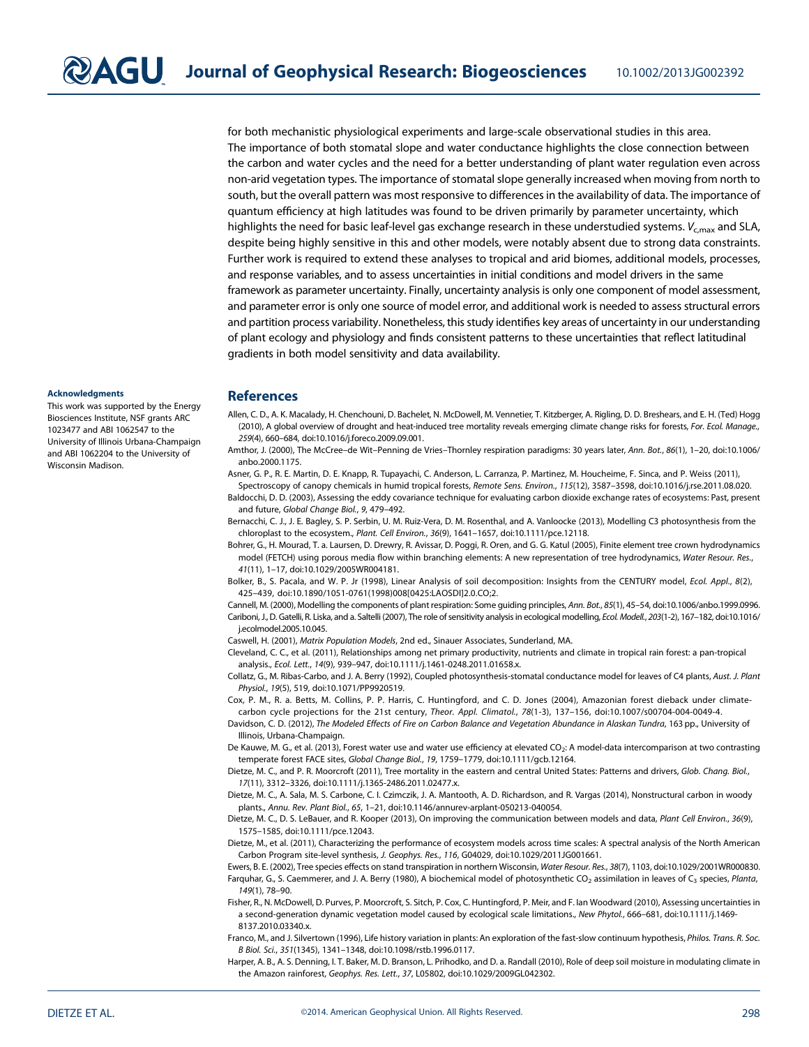for both mechanistic physiological experiments and large-scale observational studies in this area. The importance of both stomatal slope and water conductance highlights the close connection between the carbon and water cycles and the need for a better understanding of plant water regulation even across non-arid vegetation types. The importance of stomatal slope generally increased when moving from north to south, but the overall pattern was most responsive to differences in the availability of data. The importance of quantum efficiency at high latitudes was found to be driven primarily by parameter uncertainty, which highlights the need for basic leaf-level gas exchange research in these understudied systems.  $V_{c,max}$  and SLA, despite being highly sensitive in this and other models, were notably absent due to strong data constraints. Further work is required to extend these analyses to tropical and arid biomes, additional models, processes, and response variables, and to assess uncertainties in initial conditions and model drivers in the same framework as parameter uncertainty. Finally, uncertainty analysis is only one component of model assessment, and parameter error is only one source of model error, and additional work is needed to assess structural errors and partition process variability. Nonetheless, this study identifies key areas of uncertainty in our understanding of plant ecology and physiology and finds consistent patterns to these uncertainties that reflect latitudinal gradients in both model sensitivity and data availability.

#### Acknowledgments

This work was supported by the Energy Biosciences Institute, NSF grants ARC 1023477 and ABI 1062547 to the University of Illinois Urbana-Champaign and ABI 1062204 to the University of Wisconsin Madison.

#### References

- Allen, C. D., A. K. Macalady, H. Chenchouni, D. Bachelet, N. McDowell, M. Vennetier, T. Kitzberger, A. Rigling, D. D. Breshears, and E. H. (Ted) Hogg (2010), A global overview of drought and heat-induced tree mortality reveals emerging climate change risks for forests, For. Ecol. Manage., 259(4), 660–684, doi[:10.1016/j.foreco.2009.09.001.](http://dx.doi.org/10.1016/j.foreco.2009.09.001)
- Amthor, J. (2000), The McCree–de Wit–Penning de Vries–Thornley respiration paradigms: 30 years later, Ann. Bot., 86(1), 1–20, doi[:10.1006/](http://dx.doi.org/10.1006/anbo.2000.1175) [anbo.2000.1175.](http://dx.doi.org/10.1006/anbo.2000.1175)
- Asner, G. P., R. E. Martin, D. E. Knapp, R. Tupayachi, C. Anderson, L. Carranza, P. Martinez, M. Houcheime, F. Sinca, and P. Weiss (2011),

Spectroscopy of canopy chemicals in humid tropical forests, Remote Sens. Environ., 115(12), 3587–3598, doi[:10.1016/j.rse.2011.08.020.](http://dx.doi.org/10.1016/j.rse.2011.08.020) Baldocchi, D. D. (2003), Assessing the eddy covariance technique for evaluating carbon dioxide exchange rates of ecosystems: Past, present and future, Global Change Biol., 9, 479–492.

Bernacchi, C. J., J. E. Bagley, S. P. Serbin, U. M. Ruiz-Vera, D. M. Rosenthal, and A. Vanloocke (2013), Modelling C3 photosynthesis from the chloroplast to the ecosystem., Plant. Cell Environ., 36(9), 1641–1657, doi:[10.1111/pce.12118.](http://dx.doi.org/10.1111/pce.12118)

Bohrer, G., H. Mourad, T. a. Laursen, D. Drewry, R. Avissar, D. Poggi, R. Oren, and G. G. Katul (2005), Finite element tree crown hydrodynamics model (FETCH) using porous media flow within branching elements: A new representation of tree hydrodynamics, Water Resour. Res., 41(11), 1–17, doi:[10.1029/2005WR004181.](http://dx.doi.org/10.1029/2005WR004181)

Bolker, B., S. Pacala, and W. P. Jr (1998), Linear Analysis of soil decomposition: Insights from the CENTURY model, Ecol. Appl., 8(2), 425–439, doi[:10.1890/1051-0761\(1998\)008\[0425:LAOSDI\]2.0.CO;2.](http://dx.doi.org/10.1890/1051‐0761(1997)007%5B0431:HSRRSO%5D2.0.CO)

Cannell, M. (2000), Modelling the components of plant respiration: Some guiding principles, Ann. Bot., 85(1), 45–54, doi:[10.1006/anbo.1999.0996](http://dx.doi.org/10.1006/anbo.1999.0996). Cariboni, J., D. Gatelli, R. Liska, and a. Saltelli (2007), The role of sensitivity analysis in ecological modelling, Ecol. Modell., 203(1-2), 167-182, doi:[10.1016/](http://dx.doi.org/10.1016/j.ecolmodel.2005.10.045) [j.ecolmodel.2005.10.045](http://dx.doi.org/10.1016/j.ecolmodel.2005.10.045).

Caswell, H. (2001), Matrix Population Models, 2nd ed., Sinauer Associates, Sunderland, MA.

Cleveland, C. C., et al. (2011), Relationships among net primary productivity, nutrients and climate in tropical rain forest: a pan-tropical analysis., Ecol. Lett., 14(9), 939–947, doi:[10.1111/j.1461-0248.2011.01658.x](http://dx.doi.org/10.1111/j.1461‐0248.2011.01658.x).

Collatz, G., M. Ribas-Carbo, and J. A. Berry (1992), Coupled photosynthesis-stomatal conductance model for leaves of C4 plants, Aust. J. Plant Physiol., 19(5), 519, doi[:10.1071/PP9920519.](http://dx.doi.org/10.1071/PP9920519)

Cox, P. M., R. a. Betts, M. Collins, P. P. Harris, C. Huntingford, and C. D. Jones (2004), Amazonian forest dieback under climatecarbon cycle projections for the 21st century, Theor. Appl. Climatol., 78(1-3), 137–156, doi:[10.1007/s00704-004-0049-4](http://dx.doi.org/10.1007/s00704‐004‐0049‐4).

Davidson, C. D. (2012), The Modeled Effects of Fire on Carbon Balance and Vegetation Abundance in Alaskan Tundra, 163 pp., University of Illinois, Urbana-Champaign.

De Kauwe, M. G., et al. (2013), Forest water use and water use efficiency at elevated CO2: A model-data intercomparison at two contrasting temperate forest FACE sites, Global Change Biol., 19, 1759–1779, doi[:10.1111/gcb.12164.](http://dx.doi.org/10.1111/gcb.12164)

Dietze, M. C., and P. R. Moorcroft (2011), Tree mortality in the eastern and central United States: Patterns and drivers, Glob. Chang. Biol., 17(11), 3312–3326, doi:[10.1111/j.1365-2486.2011.02477.x.](http://dx.doi.org/10.1111/j.1365‐2486.2011.02477.x)

Dietze, M. C., A. Sala, M. S. Carbone, C. I. Czimczik, J. A. Mantooth, A. D. Richardson, and R. Vargas (2014), Nonstructural carbon in woody plants., Annu. Rev. Plant Biol., 65, 1–21, doi:[10.1146/annurev-arplant-050213-040054.](http://dx.doi.org/10.1146/annurev‐arplant‐050213‐040054)

Dietze, M. C., D. S. LeBauer, and R. Kooper (2013), On improving the communication between models and data, Plant Cell Environ., 36(9), 1575–1585, doi:[10.1111/pce.12043.](http://dx.doi.org/10.1111/pce.12043)

Dietze, M., et al. (2011), Characterizing the performance of ecosystem models across time scales: A spectral analysis of the North American Carbon Program site-level synthesis, J. Geophys. Res., 116, G04029, doi:[10.1029/2011JG001661.](http://dx.doi.org/10.1029/2011JG001661)

Ewers, B. E. (2002), Tree species effects on stand transpiration in northern Wisconsin, Water Resour. Res., 38(7), 1103, doi[:10.1029/2001WR000830](http://dx.doi.org/10.1029/2001WR000830). Farquhar, G., S. Caemmerer, and J. A. Berry (1980), A biochemical model of photosynthetic CO<sub>2</sub> assimilation in leaves of C<sub>3</sub> species, Planta, 149(1), 78–90.

Fisher, R., N. McDowell, D. Purves, P. Moorcroft, S. Sitch, P. Cox, C. Huntingford, P. Meir, and F. Ian Woodward (2010), Assessing uncertainties in a second-generation dynamic vegetation model caused by ecological scale limitations., New Phytol., 666–681, doi:[10.1111/j.1469-](http://dx.doi.org/10.1111/j.1469‐8137.2010.03340.x) [8137.2010.03340.x](http://dx.doi.org/10.1111/j.1469‐8137.2010.03340.x).

Franco, M., and J. Silvertown (1996), Life history variation in plants: An exploration of the fast-slow continuum hypothesis, Philos. Trans. R. Soc. B Biol. Sci., 351(1345), 1341–1348, doi:[10.1098/rstb.1996.0117.](http://dx.doi.org/10.1098/rstb.1996.0117)

Harper, A. B., A. S. Denning, I. T. Baker, M. D. Branson, L. Prihodko, and D. a. Randall (2010), Role of deep soil moisture in modulating climate in the Amazon rainforest, Geophys. Res. Lett., 37, L05802, doi:[10.1029/2009GL042302.](http://dx.doi.org/10.1029/2009GL042302)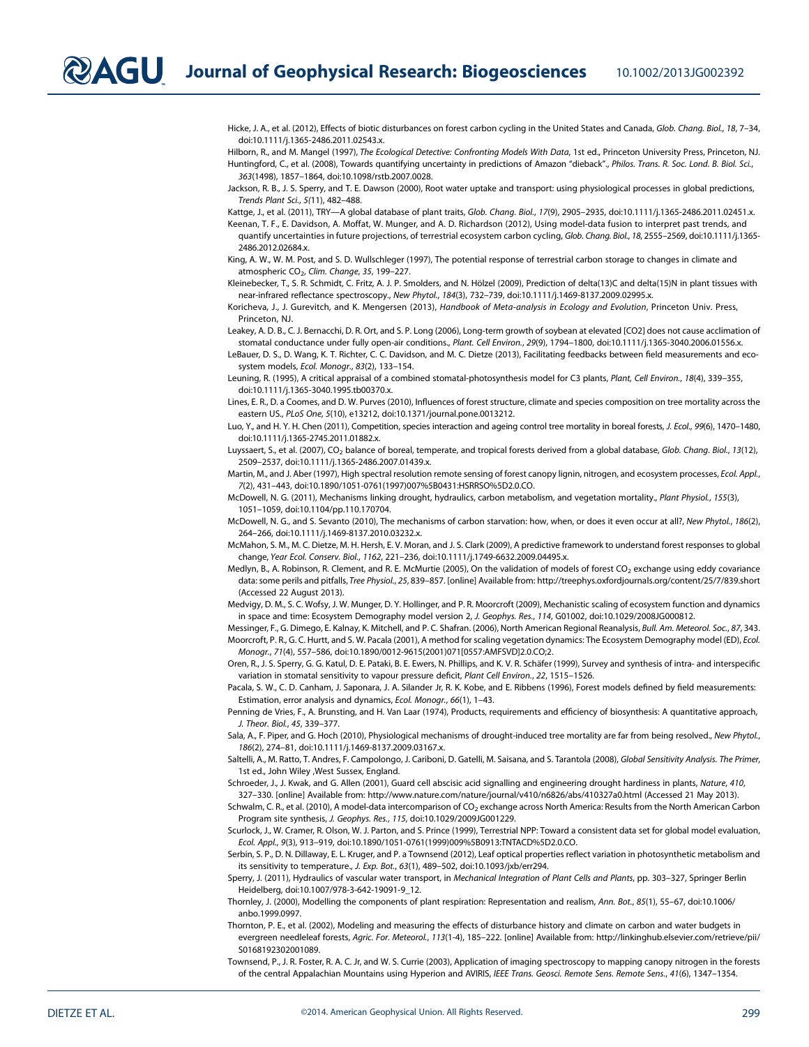Hicke, J. A., et al. (2012), Effects of biotic disturbances on forest carbon cycling in the United States and Canada, Glob. Chang. Biol., 18, 7–34, doi[:10.1111/j.1365-2486.2011.02543.x.](http://dx.doi.org/10.1111/j.1365‐2486.2011.02543.x)

Hilborn, R., and M. Mangel (1997), The Ecological Detective: Confronting Models With Data, 1st ed., Princeton University Press, Princeton, NJ. Huntingford, C., et al. (2008), Towards quantifying uncertainty in predictions of Amazon "dieback"., Philos. Trans. R. Soc. Lond. B. Biol. Sci., 363(1498), 1857–1864, doi[:10.1098/rstb.2007.0028](http://dx.doi.org/10.1098/rstb.2007.0028).

Jackson, R. B., J. S. Sperry, and T. E. Dawson (2000), Root water uptake and transport: using physiological processes in global predictions, Trends Plant Sci., 5(11), 482–488.

Kattge, J., et al. (2011), TRY—A global database of plant traits, Glob. Chang. Biol., 17(9), 2905–2935, doi:[10.1111/j.1365-2486.2011.02451.x](http://dx.doi.org/10.1111/j.1365‐2486.2011.02451.x).

- Keenan, T. F., E. Davidson, A. Moffat, W. Munger, and A. D. Richardson (2012), Using model-data fusion to interpret past trends, and quantify uncertainties in future projections, of terrestrial ecosystem carbon cycling, Glob. Chang. Biol., 18, 2555-2569, doi[:10.1111/j.1365-](http://dx.doi.org/10.1111/j.1365‐2486.2012.02684.x) [2486.2012.02684.x.](http://dx.doi.org/10.1111/j.1365‐2486.2012.02684.x)
- King, A. W., W. M. Post, and S. D. Wullschleger (1997), The potential response of terrestrial carbon storage to changes in climate and atmospheric  $CO<sub>2</sub>$ , Clim. Change, 35, 199-227.
- Kleinebecker, T., S. R. Schmidt, C. Fritz, A. J. P. Smolders, and N. Hölzel (2009), Prediction of delta(13)C and delta(15)N in plant tissues with near-infrared reflectance spectroscopy., New Phytol., 184(3), 732–739, doi:[10.1111/j.1469-8137.2009.02995.x](http://dx.doi.org/10.1111/j.1469‐8137.2009.02995.x).

Koricheva, J., J. Gurevitch, and K. Mengersen (2013), Handbook of Meta-analysis in Ecology and Evolution, Princeton Univ. Press, Princeton, NJ.

Leakey, A. D. B., C. J. Bernacchi, D. R. Ort, and S. P. Long (2006), Long-term growth of soybean at elevated [CO2] does not cause acclimation of stomatal conductance under fully open-air conditions., Plant. Cell Environ., 29(9), 1794–1800, doi:10.1111/i.1365-3040.2006.01556.x.

LeBauer, D. S., D. Wang, K. T. Richter, C. C. Davidson, and M. C. Dietze (2013), Facilitating feedbacks between field measurements and ecosystem models, Ecol. Monogr., 83(2), 133–154.

Leuning, R. (1995), A critical appraisal of a combined stomatal-photosynthesis model for C3 plants, Plant, Cell Environ., 18(4), 339–355, doi[:10.1111/j.1365-3040.1995.tb00370.x](http://dx.doi.org/10.1111/j.1365‐3040.1995.tb00370.x).

Lines, E. R., D. a Coomes, and D. W. Purves (2010), Influences of forest structure, climate and species composition on tree mortality across the eastern US., PLoS One, 5(10), e13212, doi:[10.1371/journal.pone.0013212](http://dx.doi.org/10.1371/journal.pone.0013212).

Luo, Y., and H. Y. H. Chen (2011), Competition, species interaction and ageing control tree mortality in boreal forests, J. Ecol., 99(6), 1470–1480, doi[:10.1111/j.1365-2745.2011.01882.x.](http://dx.doi.org/10.1111/j.1365‐2745.2011.01882.x)

Luyssaert, S., et al. (2007), CO<sub>2</sub> balance of boreal, temperate, and tropical forests derived from a global database, Glob. Chang. Biol., 13(12), 2509–2537, doi:[10.1111/j.1365-2486.2007.01439.x](http://dx.doi.org/10.1111/j.1365‐2486.2007.01439.x).

Martin, M., and J. Aber (1997), High spectral resolution remote sensing of forest canopy lignin, nitrogen, and ecosystem processes, Ecol. Appl., 7(2), 431–443, doi:[10.1890/1051-0761\(1997\)007%5B0431:HSRRSO%5D2.0.CO](http://dx.doi.org/10.1890/1051‐0761(1997)007%5B0431:HSRRSO%5D2.0.CO).

McDowell, N. G. (2011), Mechanisms linking drought, hydraulics, carbon metabolism, and vegetation mortality., Plant Physiol., 155(3), 1051–1059, doi:[10.1104/pp.110.170704.](http://dx.doi.org/10.1104/pp.110.170704)

McDowell, N. G., and S. Sevanto (2010), The mechanisms of carbon starvation: how, when, or does it even occur at all?, New Phytol., 186(2), 264–266, doi:[10.1111/j.1469-8137.2010.03232.x](http://dx.doi.org/10.1111/j.1469‐8137.2010.03232.x).

McMahon, S. M., M. C. Dietze, M. H. Hersh, E. V. Moran, and J. S. Clark (2009), A predictive framework to understand forest responses to global change, Year Ecol. Conserv. Biol., 1162, 221–236, doi:[10.1111/j.1749-6632.2009.04495.x](http://dx.doi.org/10.1111/j.1749‐6632.2009.04495.x).

Medlyn, B., A. Robinson, R. Clement, and R. E. McMurtie (2005), On the validation of models of forest CO<sub>2</sub> exchange using eddy covariance data: some perils and pitfalls, Tree Physiol., 25, 839–857. [online] Available from: [http://treephys.oxfordjournals.org/content/25/7/839.short](http://dx.doi.org/10.1111/j.1469‐8137.2009.03167.x) (Accessed 22 August 2013).

Medvigy, D. M., S. C. Wofsy, J. W. Munger, D. Y. Hollinger, and P. R. Moorcroft (2009), Mechanistic scaling of ecosystem function and dynamics in space and time: Ecosystem Demography model version 2, J. Geophys. Res., 114, G01002, doi:[10.1029/2008JG000812.](http://dx.doi.org/10.1029/2008JG000812)

Messinger, F., G. Dimego, E. Kalnay, K. Mitchell, and P. C. Shafran. (2006), North American Regional Reanalysis, Bull. Am. Meteorol. Soc., 87, 343. Moorcroft, P. R., G. C. Hurtt, and S. W. Pacala (2001), A method for scaling vegetation dynamics: The Ecosystem Demography model (ED), Ecol. Monogr., 71(4), 557–586, doi[:10.1890/0012-9615\(2001\)071\[0557:AMFSVD\]2.0.CO;2.](http://dx.doi.org/10.1890/0012‐9615(2001)071[0557:AMFSVD]2.0.CO;2)

Oren, R., J. S. Sperry, G. G. Katul, D. E. Pataki, B. E. Ewers, N. Phillips, and K. V. R. Schäfer (1999), Survey and synthesis of intra- and interspecific variation in stomatal sensitivity to vapour pressure deficit, Plant Cell Environ., 22, 1515-1526.

Pacala, S. W., C. D. Canham, J. Saponara, J. A. Silander Jr, R. K. Kobe, and E. Ribbens (1996), Forest models defined by field measurements: Estimation, error analysis and dynamics, Ecol. Monogr., 66(1), 1–43.

Penning de Vries, F., A. Brunsting, and H. Van Laar (1974), Products, requirements and efficiency of biosynthesis: A quantitative approach, J. Theor. Biol., 45, 339–377.

Sala, A., F. Piper, and G. Hoch (2010), Physiological mechanisms of drought-induced tree mortality are far from being resolved., New Phytol., 186(2), 274–81, doi:[10.1111/j.1469-8137.2009.03167.x.](http://dx.doi.org/10.1111/j.1469‐8137.2009.03167.x)

Saltelli, A., M. Ratto, T. Andres, F. Campolongo, J. Cariboni, D. Gatelli, M. Saisana, and S. Tarantola (2008), Global Sensitivity Analysis. The Primer, 1st ed., John Wiley ,West Sussex, England.

Schroeder, J., J. Kwak, and G. Allen (2001), Guard cell abscisic acid signalling and engineering drought hardiness in plants, Nature, 410, 327–330. [online] Available from:<http://www.nature.com/nature/journal/v410/n6826/abs/410327a0.html> (Accessed 21 May 2013).

Schwalm, C. R., et al. (2010), A model-data intercomparison of CO<sub>2</sub> exchange across North America: Results from the North American Carbon Program site synthesis, J. Geophys. Res., 115, doi[:10.1029/2009JG001229](http://dx.doi.org/10.1029/2009JG001229).

Scurlock, J., W. Cramer, R. Olson, W. J. Parton, and S. Prince (1999), Terrestrial NPP: Toward a consistent data set for global model evaluation, Ecol. Appl., 9(3), 913–919, doi:[10.1890/1051-0761\(1999\)009%5B0913:TNTACD%5D2.0.CO.](http://dx.doi.org/10.1890/1051‐0761(1999)009%5B0913:TNTACD%5D2.0.CO)

Serbin, S. P., D. N. Dillaway, E. L. Kruger, and P. a Townsend (2012), Leaf optical properties reflect variation in photosynthetic metabolism and its sensitivity to temperature., J. Exp. Bot., 63(1), 489–502, doi:[10.1093/jxb/err294](http://dx.doi.org/10.1093/jxb/err294).

Sperry, J. (2011), Hydraulics of vascular water transport, in Mechanical Integration of Plant Cells and Plants, pp. 303-327, Springer Berlin Heidelberg, doi:[10.1007/978-3-642-19091-9\\_12.](http://dx.doi.org/10.1007/978‐3‐642‐19091‐9_12)

Thornley, J. (2000), Modelling the components of plant respiration: Representation and realism, Ann. Bot., 85(1), 55–67, doi[:10.1006/](http://dx.doi.org/10.1006/anbo.1999.0997) [anbo.1999.0997.](http://dx.doi.org/10.1006/anbo.1999.0997)

Thornton, P. E., et al. (2002), Modeling and measuring the effects of disturbance history and climate on carbon and water budgets in evergreen needleleaf forests, Agric. For. Meteorol., 113(1-4), 185–222. [online] Available from: [http://linkinghub.elsevier.com/retrieve/pii/](http://linkinghub.elsevier.com/retrieve/pii/S0168192302001089) [S0168192302001089](http://linkinghub.elsevier.com/retrieve/pii/S0168192302001089).

Townsend, P., J. R. Foster, R. A. C. Jr, and W. S. Currie (2003), Application of imaging spectroscopy to mapping canopy nitrogen in the forests of the central Appalachian Mountains using Hyperion and AVIRIS, IEEE Trans. Geosci. Remote Sens. Remote Sens., 41(6), 1347–1354.